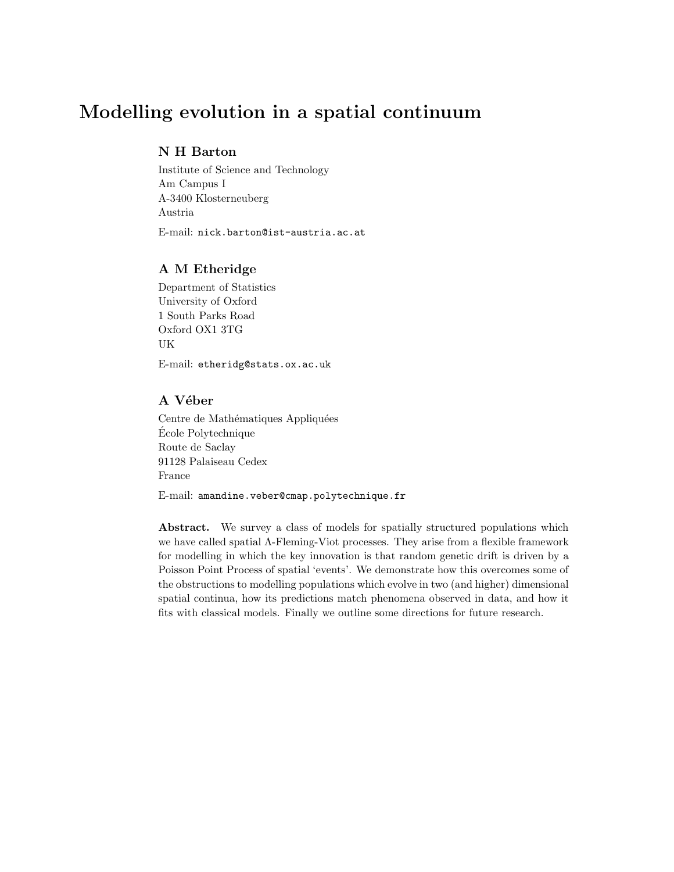# Modelling evolution in a spatial continuum

# N H Barton

Institute of Science and Technology Am Campus I A-3400 Klosterneuberg Austria E-mail: nick.barton@ist-austria.ac.at

# A M Etheridge

Department of Statistics University of Oxford 1 South Parks Road Oxford OX1 3TG UK

E-mail: etheridg@stats.ox.ac.uk

# A Véber

Centre de Mathématiques Appliquées Ecole Polytechnique ´ Route de Saclay 91128 Palaiseau Cedex France

E-mail: amandine.veber@cmap.polytechnique.fr

Abstract. We survey a class of models for spatially structured populations which we have called spatial Λ-Fleming-Viot processes. They arise from a flexible framework for modelling in which the key innovation is that random genetic drift is driven by a Poisson Point Process of spatial 'events'. We demonstrate how this overcomes some of the obstructions to modelling populations which evolve in two (and higher) dimensional spatial continua, how its predictions match phenomena observed in data, and how it fits with classical models. Finally we outline some directions for future research.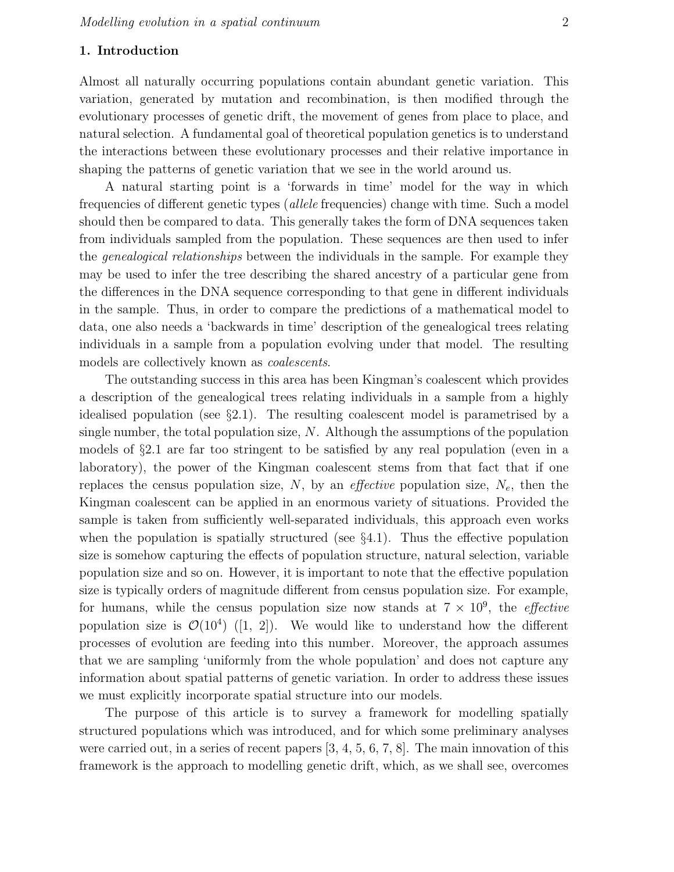## 1. Introduction

Almost all naturally occurring populations contain abundant genetic variation. This variation, generated by mutation and recombination, is then modified through the evolutionary processes of genetic drift, the movement of genes from place to place, and natural selection. A fundamental goal of theoretical population genetics is to understand the interactions between these evolutionary processes and their relative importance in shaping the patterns of genetic variation that we see in the world around us.

A natural starting point is a 'forwards in time' model for the way in which frequencies of different genetic types (allele frequencies) change with time. Such a model should then be compared to data. This generally takes the form of DNA sequences taken from individuals sampled from the population. These sequences are then used to infer the genealogical relationships between the individuals in the sample. For example they may be used to infer the tree describing the shared ancestry of a particular gene from the differences in the DNA sequence corresponding to that gene in different individuals in the sample. Thus, in order to compare the predictions of a mathematical model to data, one also needs a 'backwards in time' description of the genealogical trees relating individuals in a sample from a population evolving under that model. The resulting models are collectively known as coalescents.

The outstanding success in this area has been Kingman's coalescent which provides a description of the genealogical trees relating individuals in a sample from a highly idealised population (see §2.1). The resulting coalescent model is parametrised by a single number, the total population size,  $N$ . Although the assumptions of the population models of §2.1 are far too stringent to be satisfied by any real population (even in a laboratory), the power of the Kingman coalescent stems from that fact that if one replaces the census population size,  $N$ , by an *effective* population size,  $N_e$ , then the Kingman coalescent can be applied in an enormous variety of situations. Provided the sample is taken from sufficiently well-separated individuals, this approach even works when the population is spatially structured (see  $\S 4.1$ ). Thus the effective population size is somehow capturing the effects of population structure, natural selection, variable population size and so on. However, it is important to note that the effective population size is typically orders of magnitude different from census population size. For example, for humans, while the census population size now stands at  $7 \times 10^9$ , the *effective* population size is  $\mathcal{O}(10^4)$  ([1, 2]). We would like to understand how the different processes of evolution are feeding into this number. Moreover, the approach assumes that we are sampling 'uniformly from the whole population' and does not capture any information about spatial patterns of genetic variation. In order to address these issues we must explicitly incorporate spatial structure into our models.

The purpose of this article is to survey a framework for modelling spatially structured populations which was introduced, and for which some preliminary analyses were carried out, in a series of recent papers [3, 4, 5, 6, 7, 8]. The main innovation of this framework is the approach to modelling genetic drift, which, as we shall see, overcomes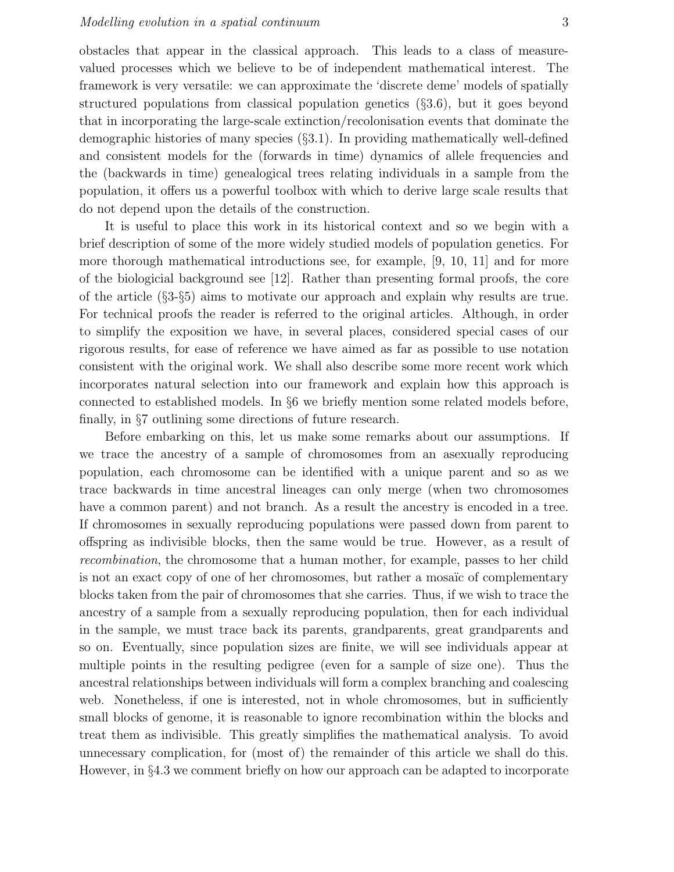obstacles that appear in the classical approach. This leads to a class of measurevalued processes which we believe to be of independent mathematical interest. The framework is very versatile: we can approximate the 'discrete deme' models of spatially structured populations from classical population genetics (§3.6), but it goes beyond that in incorporating the large-scale extinction/recolonisation events that dominate the demographic histories of many species (§3.1). In providing mathematically well-defined and consistent models for the (forwards in time) dynamics of allele frequencies and the (backwards in time) genealogical trees relating individuals in a sample from the population, it offers us a powerful toolbox with which to derive large scale results that do not depend upon the details of the construction.

It is useful to place this work in its historical context and so we begin with a brief description of some of the more widely studied models of population genetics. For more thorough mathematical introductions see, for example, [9, 10, 11] and for more of the biologicial background see [12]. Rather than presenting formal proofs, the core of the article (§3-§5) aims to motivate our approach and explain why results are true. For technical proofs the reader is referred to the original articles. Although, in order to simplify the exposition we have, in several places, considered special cases of our rigorous results, for ease of reference we have aimed as far as possible to use notation consistent with the original work. We shall also describe some more recent work which incorporates natural selection into our framework and explain how this approach is connected to established models. In §6 we briefly mention some related models before, finally, in §7 outlining some directions of future research.

Before embarking on this, let us make some remarks about our assumptions. If we trace the ancestry of a sample of chromosomes from an asexually reproducing population, each chromosome can be identified with a unique parent and so as we trace backwards in time ancestral lineages can only merge (when two chromosomes have a common parent) and not branch. As a result the ancestry is encoded in a tree. If chromosomes in sexually reproducing populations were passed down from parent to offspring as indivisible blocks, then the same would be true. However, as a result of recombination, the chromosome that a human mother, for example, passes to her child is not an exact copy of one of her chromosomes, but rather a mosaïc of complementary blocks taken from the pair of chromosomes that she carries. Thus, if we wish to trace the ancestry of a sample from a sexually reproducing population, then for each individual in the sample, we must trace back its parents, grandparents, great grandparents and so on. Eventually, since population sizes are finite, we will see individuals appear at multiple points in the resulting pedigree (even for a sample of size one). Thus the ancestral relationships between individuals will form a complex branching and coalescing web. Nonetheless, if one is interested, not in whole chromosomes, but in sufficiently small blocks of genome, it is reasonable to ignore recombination within the blocks and treat them as indivisible. This greatly simplifies the mathematical analysis. To avoid unnecessary complication, for (most of) the remainder of this article we shall do this. However, in §4.3 we comment briefly on how our approach can be adapted to incorporate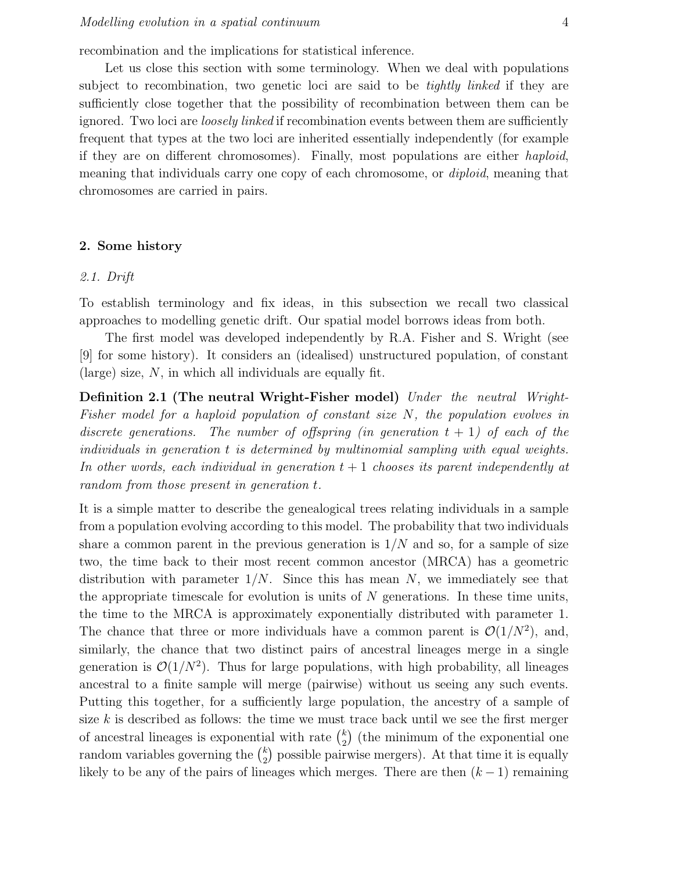recombination and the implications for statistical inference.

Let us close this section with some terminology. When we deal with populations subject to recombination, two genetic loci are said to be *tightly linked* if they are sufficiently close together that the possibility of recombination between them can be ignored. Two loci are *loosely linked* if recombination events between them are sufficiently frequent that types at the two loci are inherited essentially independently (for example if they are on different chromosomes). Finally, most populations are either haploid, meaning that individuals carry one copy of each chromosome, or diploid, meaning that chromosomes are carried in pairs.

#### 2. Some history

#### 2.1. Drift

To establish terminology and fix ideas, in this subsection we recall two classical approaches to modelling genetic drift. Our spatial model borrows ideas from both.

The first model was developed independently by R.A. Fisher and S. Wright (see [9] for some history). It considers an (idealised) unstructured population, of constant (large) size,  $N$ , in which all individuals are equally fit.

Definition 2.1 (The neutral Wright-Fisher model) Under the neutral Wright-Fisher model for a haploid population of constant size N, the population evolves in discrete generations. The number of offspring (in generation  $t + 1$ ) of each of the individuals in generation t is determined by multinomial sampling with equal weights. In other words, each individual in generation  $t + 1$  chooses its parent independently at random from those present in generation t.

It is a simple matter to describe the genealogical trees relating individuals in a sample from a population evolving according to this model. The probability that two individuals share a common parent in the previous generation is  $1/N$  and so, for a sample of size two, the time back to their most recent common ancestor (MRCA) has a geometric distribution with parameter  $1/N$ . Since this has mean N, we immediately see that the appropriate timescale for evolution is units of  $N$  generations. In these time units, the time to the MRCA is approximately exponentially distributed with parameter 1. The chance that three or more individuals have a common parent is  $\mathcal{O}(1/N^2)$ , and, similarly, the chance that two distinct pairs of ancestral lineages merge in a single generation is  $\mathcal{O}(1/N^2)$ . Thus for large populations, with high probability, all lineages ancestral to a finite sample will merge (pairwise) without us seeing any such events. Putting this together, for a sufficiently large population, the ancestry of a sample of size  $k$  is described as follows: the time we must trace back until we see the first merger of ancestral lineages is exponential with rate  $\binom{k}{2}$  $_{2}^{k}$ ) (the minimum of the exponential one random variables governing the  $\binom{k}{2}$  $_{2}^{k}$ ) possible pairwise mergers). At that time it is equally likely to be any of the pairs of lineages which merges. There are then  $(k-1)$  remaining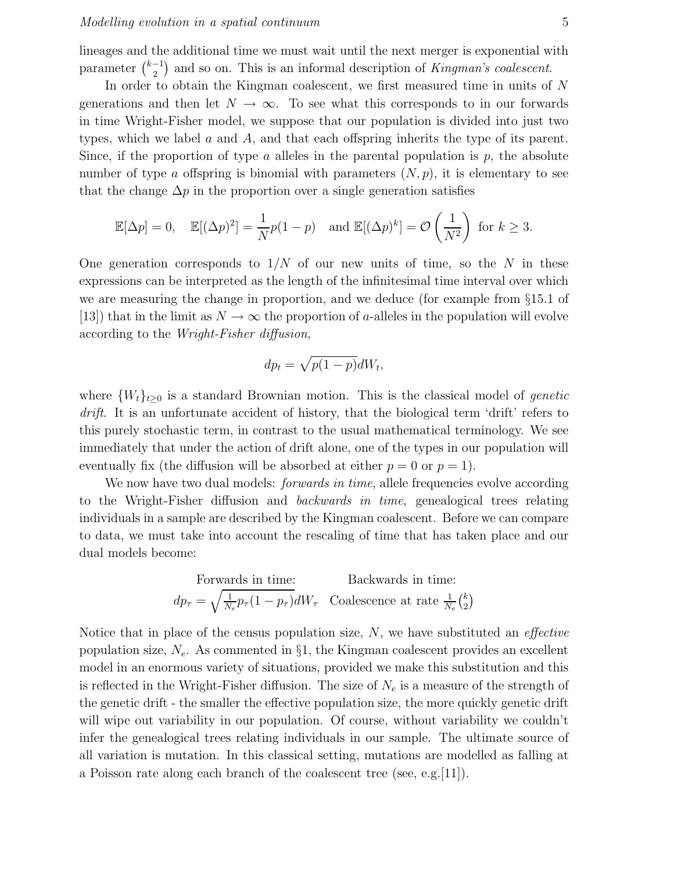lineages and the additional time we must wait until the next merger is exponential with parameter  $\binom{k-1}{2}$  $\binom{-1}{2}$  and so on. This is an informal description of *Kingman's coalescent*.

In order to obtain the Kingman coalescent, we first measured time in units of N generations and then let  $N \to \infty$ . To see what this corresponds to in our forwards in time Wright-Fisher model, we suppose that our population is divided into just two types, which we label a and A, and that each offspring inherits the type of its parent. Since, if the proportion of type  $\alpha$  alleles in the parental population is  $p$ , the absolute number of type a offspring is binomial with parameters  $(N, p)$ , it is elementary to see that the change  $\Delta p$  in the proportion over a single generation satisfies

$$
\mathbb{E}[\Delta p] = 0, \quad \mathbb{E}[(\Delta p)^2] = \frac{1}{N}p(1-p) \quad \text{and } \mathbb{E}[(\Delta p)^k] = \mathcal{O}\left(\frac{1}{N^2}\right) \text{ for } k \ge 3.
$$

One generation corresponds to  $1/N$  of our new units of time, so the N in these expressions can be interpreted as the length of the infinitesimal time interval over which we are measuring the change in proportion, and we deduce (for example from §15.1 of [13]) that in the limit as  $N \to \infty$  the proportion of a-alleles in the population will evolve according to the Wright-Fisher diffusion,

$$
dp_t = \sqrt{p(1-p)}dW_t,
$$

where  $\{W_t\}_{t\geq0}$  is a standard Brownian motion. This is the classical model of *genetic* drift. It is an unfortunate accident of history, that the biological term 'drift' refers to this purely stochastic term, in contrast to the usual mathematical terminology. We see immediately that under the action of drift alone, one of the types in our population will eventually fix (the diffusion will be absorbed at either  $p = 0$  or  $p = 1$ ).

We now have two dual models: *forwards in time*, allele frequencies evolve according to the Wright-Fisher diffusion and *backwards in time*, genealogical trees relating individuals in a sample are described by the Kingman coalescent. Before we can compare to data, we must take into account the rescaling of time that has taken place and our dual models become:

$$
\begin{array}{ll}\n\text{Forwards in time:} & \text{Backwards in time:} \\
dp_{\tau} = \sqrt{\frac{1}{N_e}p_{\tau}(1-p_{\tau})}dW_{\tau} & \text{Coalescence at rate } \frac{1}{N_e}\binom{k}{2}\n\end{array}
$$

Notice that in place of the census population size,  $N$ , we have substituted an *effective* population size,  $N_e$ . As commented in §1, the Kingman coalescent provides an excellent model in an enormous variety of situations, provided we make this substitution and this is reflected in the Wright-Fisher diffusion. The size of  $N_e$  is a measure of the strength of the genetic drift - the smaller the effective population size, the more quickly genetic drift will wipe out variability in our population. Of course, without variability we couldn't infer the genealogical trees relating individuals in our sample. The ultimate source of all variation is mutation. In this classical setting, mutations are modelled as falling at a Poisson rate along each branch of the coalescent tree (see, e.g.  $[11]$ ).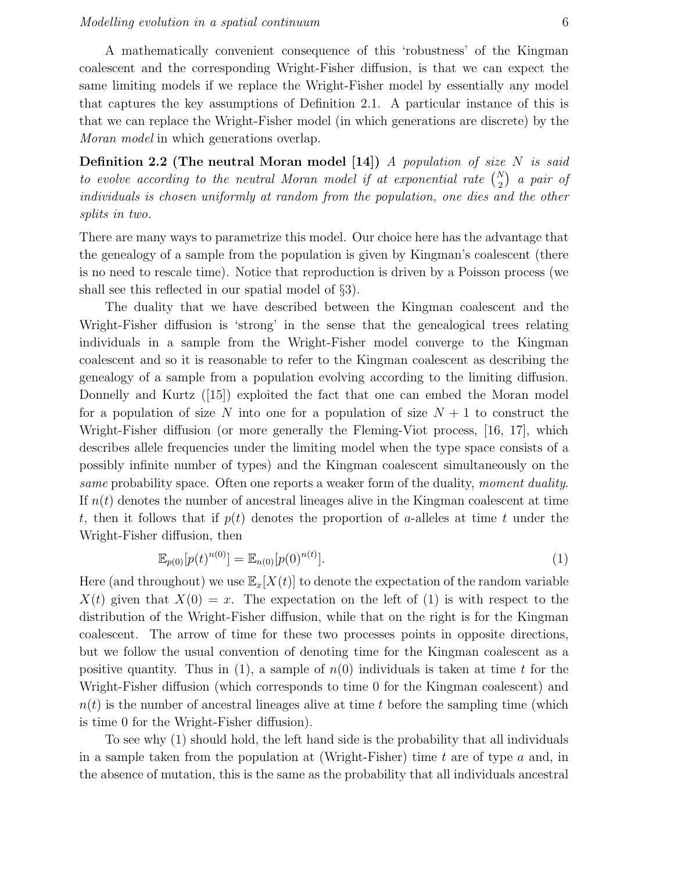A mathematically convenient consequence of this 'robustness' of the Kingman coalescent and the corresponding Wright-Fisher diffusion, is that we can expect the same limiting models if we replace the Wright-Fisher model by essentially any model that captures the key assumptions of Definition 2.1. A particular instance of this is that we can replace the Wright-Fisher model (in which generations are discrete) by the Moran model in which generations overlap.

**Definition 2.2 (The neutral Moran model [14])** A population of size  $N$  is said to evolve according to the neutral Moran model if at exponential rate  $\binom{N}{2}$  a pair of individuals is chosen uniformly at random from the population, one dies and the other splits in two.

There are many ways to parametrize this model. Our choice here has the advantage that the genealogy of a sample from the population is given by Kingman's coalescent (there is no need to rescale time). Notice that reproduction is driven by a Poisson process (we shall see this reflected in our spatial model of §3).

The duality that we have described between the Kingman coalescent and the Wright-Fisher diffusion is 'strong' in the sense that the genealogical trees relating individuals in a sample from the Wright-Fisher model converge to the Kingman coalescent and so it is reasonable to refer to the Kingman coalescent as describing the genealogy of a sample from a population evolving according to the limiting diffusion. Donnelly and Kurtz ([15]) exploited the fact that one can embed the Moran model for a population of size N into one for a population of size  $N + 1$  to construct the Wright-Fisher diffusion (or more generally the Fleming-Viot process, [16, 17], which describes allele frequencies under the limiting model when the type space consists of a possibly infinite number of types) and the Kingman coalescent simultaneously on the same probability space. Often one reports a weaker form of the duality, moment duality. If  $n(t)$  denotes the number of ancestral lineages alive in the Kingman coalescent at time t, then it follows that if  $p(t)$  denotes the proportion of a-alleles at time t under the Wright-Fisher diffusion, then

$$
\mathbb{E}_{p(0)}[p(t)^{n(0)}] = \mathbb{E}_{n(0)}[p(0)^{n(t)}].
$$
\n(1)

Here (and throughout) we use  $\mathbb{E}_x[X(t)]$  to denote the expectation of the random variable  $X(t)$  given that  $X(0) = x$ . The expectation on the left of (1) is with respect to the distribution of the Wright-Fisher diffusion, while that on the right is for the Kingman coalescent. The arrow of time for these two processes points in opposite directions, but we follow the usual convention of denoting time for the Kingman coalescent as a positive quantity. Thus in (1), a sample of  $n(0)$  individuals is taken at time t for the Wright-Fisher diffusion (which corresponds to time 0 for the Kingman coalescent) and  $n(t)$  is the number of ancestral lineages alive at time t before the sampling time (which is time 0 for the Wright-Fisher diffusion).

To see why (1) should hold, the left hand side is the probability that all individuals in a sample taken from the population at (Wright-Fisher) time t are of type  $a$  and, in the absence of mutation, this is the same as the probability that all individuals ancestral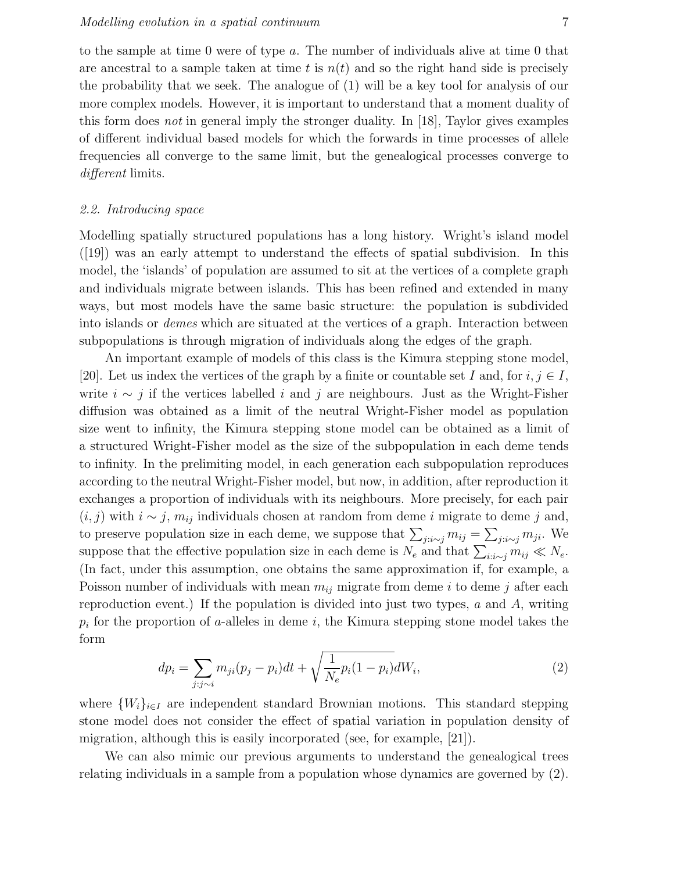to the sample at time 0 were of type a. The number of individuals alive at time 0 that are ancestral to a sample taken at time t is  $n(t)$  and so the right hand side is precisely the probability that we seek. The analogue of (1) will be a key tool for analysis of our more complex models. However, it is important to understand that a moment duality of this form does not in general imply the stronger duality. In [18], Taylor gives examples of different individual based models for which the forwards in time processes of allele frequencies all converge to the same limit, but the genealogical processes converge to different limits.

# 2.2. Introducing space

Modelling spatially structured populations has a long history. Wright's island model ([19]) was an early attempt to understand the effects of spatial subdivision. In this model, the 'islands' of population are assumed to sit at the vertices of a complete graph and individuals migrate between islands. This has been refined and extended in many ways, but most models have the same basic structure: the population is subdivided into islands or demes which are situated at the vertices of a graph. Interaction between subpopulations is through migration of individuals along the edges of the graph.

An important example of models of this class is the Kimura stepping stone model, [20]. Let us index the vertices of the graph by a finite or countable set I and, for  $i, j \in I$ , write  $i \sim j$  if the vertices labelled i and j are neighbours. Just as the Wright-Fisher diffusion was obtained as a limit of the neutral Wright-Fisher model as population size went to infinity, the Kimura stepping stone model can be obtained as a limit of a structured Wright-Fisher model as the size of the subpopulation in each deme tends to infinity. In the prelimiting model, in each generation each subpopulation reproduces according to the neutral Wright-Fisher model, but now, in addition, after reproduction it exchanges a proportion of individuals with its neighbours. More precisely, for each pair  $(i, j)$  with  $i \sim j$ ,  $m_{ij}$  individuals chosen at random from deme i migrate to deme j and, to preserve population size in each deme, we suppose that  $\sum_{j:i \sim j} m_{ij} = \sum_{j:i \sim j} m_{ji}$ . We suppose that the effective population size in each deme is  $N_e$  and that  $\sum_{i:i \sim j} m_{ij} \ll N_e$ . (In fact, under this assumption, one obtains the same approximation if, for example, a Poisson number of individuals with mean  $m_{ij}$  migrate from deme i to deme j after each reproduction event.) If the population is divided into just two types,  $a$  and  $A$ , writing  $p_i$  for the proportion of a-alleles in deme i, the Kimura stepping stone model takes the form

$$
dp_i = \sum_{j:j \sim i} m_{ji}(p_j - p_i)dt + \sqrt{\frac{1}{N_e}p_i(1 - p_i)}dW_i,
$$
\n(2)

where  $\{W_i\}_{i\in I}$  are independent standard Brownian motions. This standard stepping stone model does not consider the effect of spatial variation in population density of migration, although this is easily incorporated (see, for example, [21]).

We can also mimic our previous arguments to understand the genealogical trees relating individuals in a sample from a population whose dynamics are governed by (2).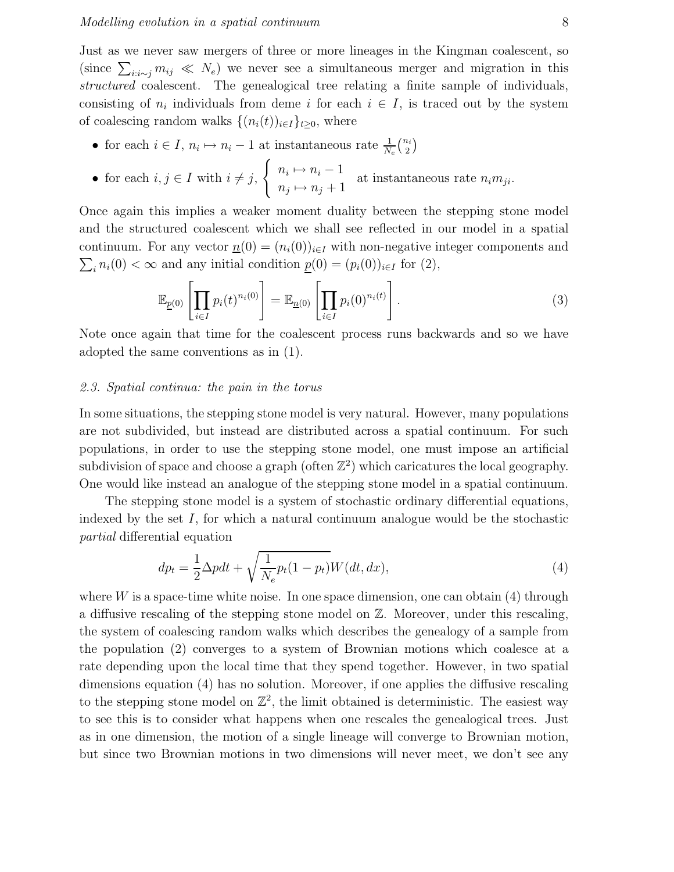Just as we never saw mergers of three or more lineages in the Kingman coalescent, so (since  $\sum_{i:i\sim j} m_{ij} \ll N_e$ ) we never see a simultaneous merger and migration in this structured coalescent. The genealogical tree relating a finite sample of individuals, consisting of  $n_i$  individuals from deme i for each  $i \in I$ , is traced out by the system of coalescing random walks  $\{(n_i(t))_{i\in I}\}_{t\geq 0}$ , where

- for each  $i \in I$ ,  $n_i \mapsto n_i 1$  at instantaneous rate  $\frac{1}{N_e} {n_i \choose 2}$  $\binom{i}{2}$
- for each  $i, j \in I$  with  $i \neq j$ ,  $\int n_i \mapsto n_i - 1$  $n_j \mapsto n_j + 1$ at instantaneous rate  $n_i m_{ji}$ .

Once again this implies a weaker moment duality between the stepping stone model and the structured coalescent which we shall see reflected in our model in a spatial continuum. For any vector  $\underline{n}(0) = (n_i(0))_{i \in I}$  with non-negative integer components and  $\sum_i n_i(0) < \infty$  and any initial condition  $\underline{p}(0) = (p_i(0))_{i \in I}$  for (2),

$$
\mathbb{E}_{\underline{p}(0)}\left[\prod_{i\in I}p_i(t)^{n_i(0)}\right] = \mathbb{E}_{\underline{n}(0)}\left[\prod_{i\in I}p_i(0)^{n_i(t)}\right].\tag{3}
$$

Note once again that time for the coalescent process runs backwards and so we have adopted the same conventions as in (1).

### 2.3. Spatial continua: the pain in the torus

In some situations, the stepping stone model is very natural. However, many populations are not subdivided, but instead are distributed across a spatial continuum. For such populations, in order to use the stepping stone model, one must impose an artificial subdivision of space and choose a graph (often  $\mathbb{Z}^2$ ) which caricatures the local geography. One would like instead an analogue of the stepping stone model in a spatial continuum.

The stepping stone model is a system of stochastic ordinary differential equations, indexed by the set  $I$ , for which a natural continuum analogue would be the stochastic partial differential equation

$$
dp_t = \frac{1}{2}\Delta pdt + \sqrt{\frac{1}{N_e}p_t(1-p_t)}W(dt, dx),\tag{4}
$$

where  $W$  is a space-time white noise. In one space dimension, one can obtain  $(4)$  through a diffusive rescaling of the stepping stone model on Z. Moreover, under this rescaling, the system of coalescing random walks which describes the genealogy of a sample from the population (2) converges to a system of Brownian motions which coalesce at a rate depending upon the local time that they spend together. However, in two spatial dimensions equation (4) has no solution. Moreover, if one applies the diffusive rescaling to the stepping stone model on  $\mathbb{Z}^2$ , the limit obtained is deterministic. The easiest way to see this is to consider what happens when one rescales the genealogical trees. Just as in one dimension, the motion of a single lineage will converge to Brownian motion, but since two Brownian motions in two dimensions will never meet, we don't see any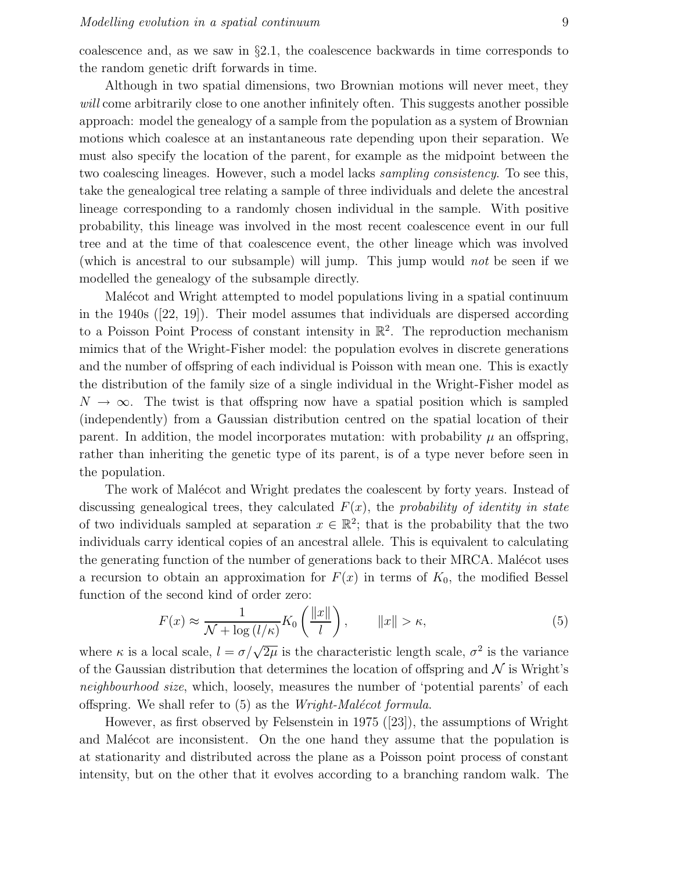coalescence and, as we saw in  $\S 2.1$ , the coalescence backwards in time corresponds to the random genetic drift forwards in time.

Although in two spatial dimensions, two Brownian motions will never meet, they will come arbitrarily close to one another infinitely often. This suggests another possible approach: model the genealogy of a sample from the population as a system of Brownian motions which coalesce at an instantaneous rate depending upon their separation. We must also specify the location of the parent, for example as the midpoint between the two coalescing lineages. However, such a model lacks *sampling consistency*. To see this, take the genealogical tree relating a sample of three individuals and delete the ancestral lineage corresponding to a randomly chosen individual in the sample. With positive probability, this lineage was involved in the most recent coalescence event in our full tree and at the time of that coalescence event, the other lineage which was involved (which is ancestral to our subsample) will jump. This jump would not be seen if we modelled the genealogy of the subsample directly.

Malécot and Wright attempted to model populations living in a spatial continuum in the 1940s ([22, 19]). Their model assumes that individuals are dispersed according to a Poisson Point Process of constant intensity in  $\mathbb{R}^2$ . The reproduction mechanism mimics that of the Wright-Fisher model: the population evolves in discrete generations and the number of offspring of each individual is Poisson with mean one. This is exactly the distribution of the family size of a single individual in the Wright-Fisher model as  $N \to \infty$ . The twist is that offspring now have a spatial position which is sampled (independently) from a Gaussian distribution centred on the spatial location of their parent. In addition, the model incorporates mutation: with probability  $\mu$  an offspring, rather than inheriting the genetic type of its parent, is of a type never before seen in the population.

The work of Malécot and Wright predates the coalescent by forty years. Instead of discussing genealogical trees, they calculated  $F(x)$ , the probability of identity in state of two individuals sampled at separation  $x \in \mathbb{R}^2$ ; that is the probability that the two individuals carry identical copies of an ancestral allele. This is equivalent to calculating the generating function of the number of generations back to their MRCA. Malécot uses a recursion to obtain an approximation for  $F(x)$  in terms of  $K_0$ , the modified Bessel function of the second kind of order zero:

$$
F(x) \approx \frac{1}{\mathcal{N} + \log\left(\frac{l}{\kappa}\right)} K_0\left(\frac{\|x\|}{l}\right), \qquad \|x\| > \kappa,
$$
\n<sup>(5)</sup>

where  $\kappa$  is a local scale,  $l = \sigma / \sqrt{2\mu}$  is the characteristic length scale,  $\sigma^2$  is the variance of the Gaussian distribution that determines the location of offspring and  $\mathcal N$  is Wright's neighbourhood size, which, loosely, measures the number of 'potential parents' of each offspring. We shall refer to  $(5)$  as the *Wright-Malécot formula*.

However, as first observed by Felsenstein in 1975 ([23]), the assumptions of Wright and Malécot are inconsistent. On the one hand they assume that the population is at stationarity and distributed across the plane as a Poisson point process of constant intensity, but on the other that it evolves according to a branching random walk. The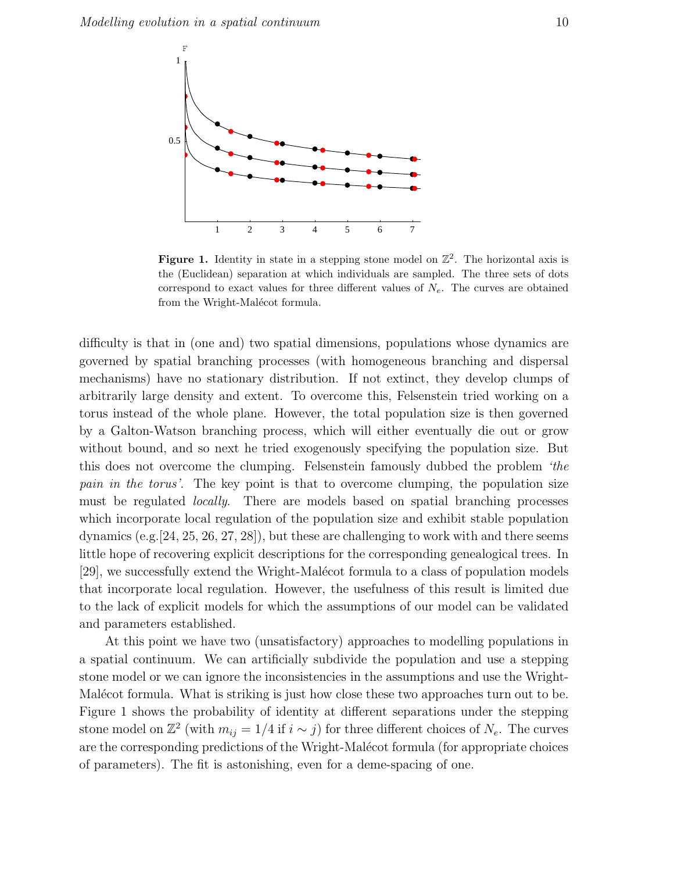

Figure 1. Identity in state in a stepping stone model on  $\mathbb{Z}^2$ . The horizontal axis is the (Euclidean) separation at which individuals are sampled. The three sets of dots correspond to exact values for three different values of  $N_e$ . The curves are obtained from the Wright-Malécot formula.

difficulty is that in (one and) two spatial dimensions, populations whose dynamics are governed by spatial branching processes (with homogeneous branching and dispersal mechanisms) have no stationary distribution. If not extinct, they develop clumps of arbitrarily large density and extent. To overcome this, Felsenstein tried working on a torus instead of the whole plane. However, the total population size is then governed by a Galton-Watson branching process, which will either eventually die out or grow without bound, and so next he tried exogenously specifying the population size. But this does not overcome the clumping. Felsenstein famously dubbed the problem 'the pain in the torus'. The key point is that to overcome clumping, the population size must be regulated locally. There are models based on spatial branching processes which incorporate local regulation of the population size and exhibit stable population dynamics (e.g.  $[24, 25, 26, 27, 28]$ ), but these are challenging to work with and there seems little hope of recovering explicit descriptions for the corresponding genealogical trees. In [29], we successfully extend the Wright-Malécot formula to a class of population models that incorporate local regulation. However, the usefulness of this result is limited due to the lack of explicit models for which the assumptions of our model can be validated and parameters established.

At this point we have two (unsatisfactory) approaches to modelling populations in a spatial continuum. We can artificially subdivide the population and use a stepping stone model or we can ignore the inconsistencies in the assumptions and use the Wright-Malécot formula. What is striking is just how close these two approaches turn out to be. Figure 1 shows the probability of identity at different separations under the stepping stone model on  $\mathbb{Z}^2$  (with  $m_{ij} = 1/4$  if  $i \sim j$ ) for three different choices of  $N_e$ . The curves are the corresponding predictions of the Wright-Malécot formula (for appropriate choices of parameters). The fit is astonishing, even for a deme-spacing of one.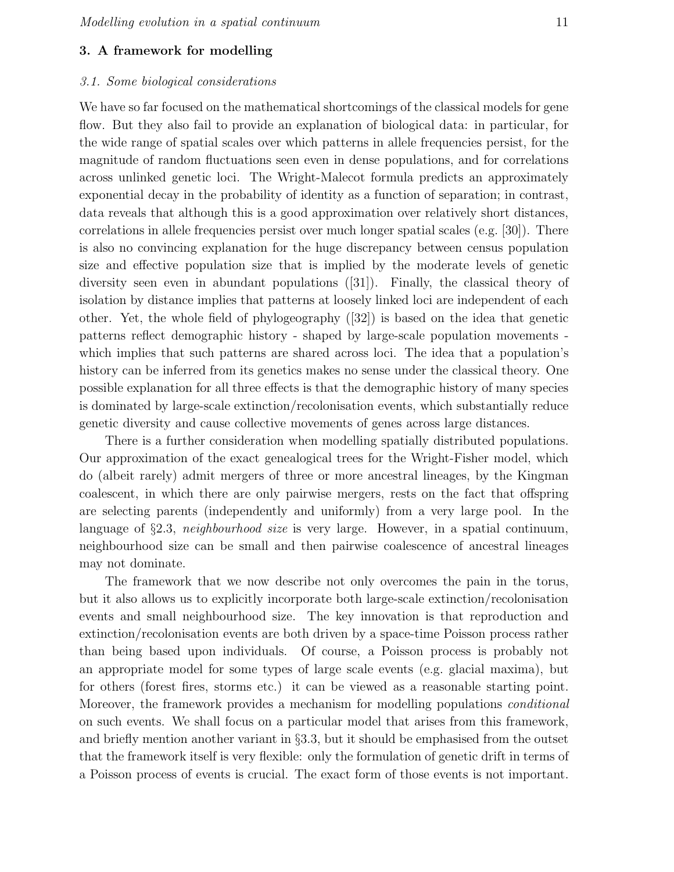## 3. A framework for modelling

## 3.1. Some biological considerations

We have so far focused on the mathematical shortcomings of the classical models for gene flow. But they also fail to provide an explanation of biological data: in particular, for the wide range of spatial scales over which patterns in allele frequencies persist, for the magnitude of random fluctuations seen even in dense populations, and for correlations across unlinked genetic loci. The Wright-Malecot formula predicts an approximately exponential decay in the probability of identity as a function of separation; in contrast, data reveals that although this is a good approximation over relatively short distances, correlations in allele frequencies persist over much longer spatial scales (e.g. [30]). There is also no convincing explanation for the huge discrepancy between census population size and effective population size that is implied by the moderate levels of genetic diversity seen even in abundant populations ([31]). Finally, the classical theory of isolation by distance implies that patterns at loosely linked loci are independent of each other. Yet, the whole field of phylogeography ([32]) is based on the idea that genetic patterns reflect demographic history - shaped by large-scale population movements which implies that such patterns are shared across loci. The idea that a population's history can be inferred from its genetics makes no sense under the classical theory. One possible explanation for all three effects is that the demographic history of many species is dominated by large-scale extinction/recolonisation events, which substantially reduce genetic diversity and cause collective movements of genes across large distances.

There is a further consideration when modelling spatially distributed populations. Our approximation of the exact genealogical trees for the Wright-Fisher model, which do (albeit rarely) admit mergers of three or more ancestral lineages, by the Kingman coalescent, in which there are only pairwise mergers, rests on the fact that offspring are selecting parents (independently and uniformly) from a very large pool. In the language of  $\S 2.3$ , neighbourhood size is very large. However, in a spatial continuum, neighbourhood size can be small and then pairwise coalescence of ancestral lineages may not dominate.

The framework that we now describe not only overcomes the pain in the torus, but it also allows us to explicitly incorporate both large-scale extinction/recolonisation events and small neighbourhood size. The key innovation is that reproduction and extinction/recolonisation events are both driven by a space-time Poisson process rather than being based upon individuals. Of course, a Poisson process is probably not an appropriate model for some types of large scale events (e.g. glacial maxima), but for others (forest fires, storms etc.) it can be viewed as a reasonable starting point. Moreover, the framework provides a mechanism for modelling populations conditional on such events. We shall focus on a particular model that arises from this framework, and briefly mention another variant in §3.3, but it should be emphasised from the outset that the framework itself is very flexible: only the formulation of genetic drift in terms of a Poisson process of events is crucial. The exact form of those events is not important.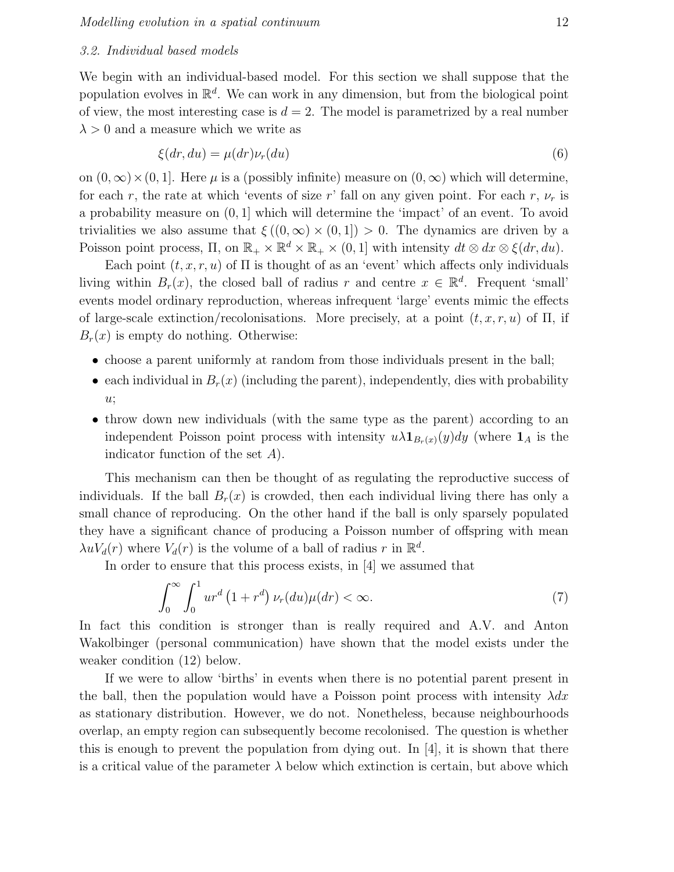#### 3.2. Individual based models

We begin with an individual-based model. For this section we shall suppose that the population evolves in  $\mathbb{R}^d$ . We can work in any dimension, but from the biological point of view, the most interesting case is  $d = 2$ . The model is parametrized by a real number  $\lambda > 0$  and a measure which we write as

$$
\xi(dr, du) = \mu(dr)\nu_r(du) \tag{6}
$$

on  $(0, \infty) \times (0, 1]$ . Here  $\mu$  is a (possibly infinite) measure on  $(0, \infty)$  which will determine, for each r, the rate at which 'events of size r' fall on any given point. For each r,  $\nu_r$  is a probability measure on (0, 1] which will determine the 'impact' of an event. To avoid trivialities we also assume that  $\xi((0,\infty) \times (0,1]) > 0$ . The dynamics are driven by a Poisson point process,  $\Pi$ , on  $\mathbb{R}_+ \times \mathbb{R}^d \times \mathbb{R}_+ \times (0,1]$  with intensity  $dt \otimes dx \otimes \xi(dr, du)$ .

Each point  $(t, x, r, u)$  of  $\Pi$  is thought of as an 'event' which affects only individuals living within  $B_r(x)$ , the closed ball of radius r and centre  $x \in \mathbb{R}^d$ . Frequent 'small' events model ordinary reproduction, whereas infrequent 'large' events mimic the effects of large-scale extinction/recolonisations. More precisely, at a point  $(t, x, r, u)$  of  $\Pi$ , if  $B_r(x)$  is empty do nothing. Otherwise:

- choose a parent uniformly at random from those individuals present in the ball;
- each individual in  $B_r(x)$  (including the parent), independently, dies with probability  $u$ ;
- throw down new individuals (with the same type as the parent) according to an independent Poisson point process with intensity  $u\lambda \mathbf{1}_{B_r(x)}(y)dy$  (where  $\mathbf{1}_A$  is the indicator function of the set A).

This mechanism can then be thought of as regulating the reproductive success of individuals. If the ball  $B_r(x)$  is crowded, then each individual living there has only a small chance of reproducing. On the other hand if the ball is only sparsely populated they have a significant chance of producing a Poisson number of offspring with mean  $\lambda u V_d(r)$  where  $V_d(r)$  is the volume of a ball of radius r in  $\mathbb{R}^d$ .

In order to ensure that this process exists, in [4] we assumed that

$$
\int_0^\infty \int_0^1 ur^d \left(1 + r^d\right) \nu_r(du)\mu(dr) < \infty. \tag{7}
$$

In fact this condition is stronger than is really required and A.V. and Anton Wakolbinger (personal communication) have shown that the model exists under the weaker condition (12) below.

If we were to allow 'births' in events when there is no potential parent present in the ball, then the population would have a Poisson point process with intensity  $\lambda dx$ as stationary distribution. However, we do not. Nonetheless, because neighbourhoods overlap, an empty region can subsequently become recolonised. The question is whether this is enough to prevent the population from dying out. In  $[4]$ , it is shown that there is a critical value of the parameter  $\lambda$  below which extinction is certain, but above which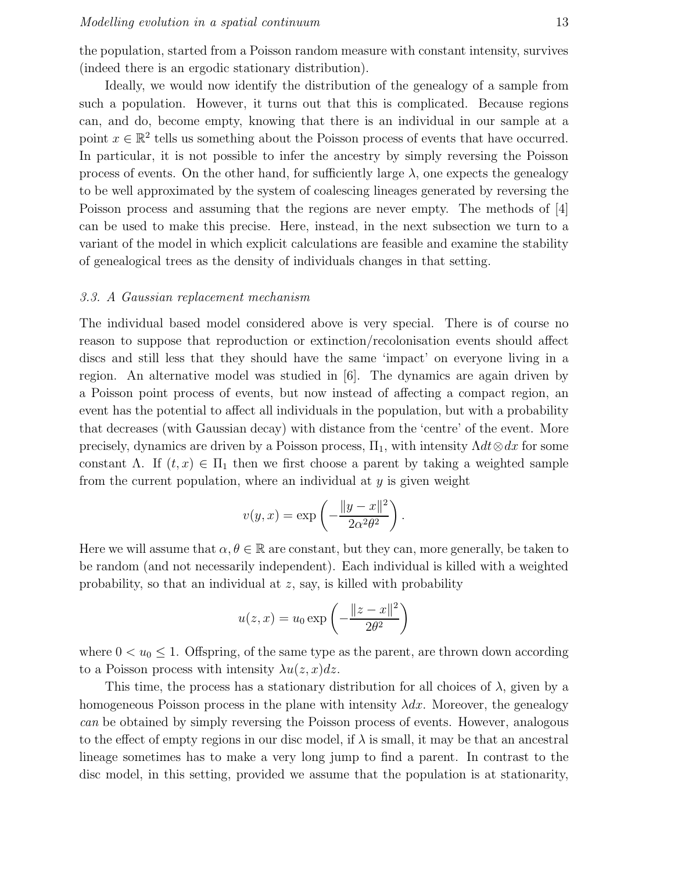the population, started from a Poisson random measure with constant intensity, survives (indeed there is an ergodic stationary distribution).

Ideally, we would now identify the distribution of the genealogy of a sample from such a population. However, it turns out that this is complicated. Because regions can, and do, become empty, knowing that there is an individual in our sample at a point  $x \in \mathbb{R}^2$  tells us something about the Poisson process of events that have occurred. In particular, it is not possible to infer the ancestry by simply reversing the Poisson process of events. On the other hand, for sufficiently large  $\lambda$ , one expects the genealogy to be well approximated by the system of coalescing lineages generated by reversing the Poisson process and assuming that the regions are never empty. The methods of [4] can be used to make this precise. Here, instead, in the next subsection we turn to a variant of the model in which explicit calculations are feasible and examine the stability of genealogical trees as the density of individuals changes in that setting.

## 3.3. A Gaussian replacement mechanism

The individual based model considered above is very special. There is of course no reason to suppose that reproduction or extinction/recolonisation events should affect discs and still less that they should have the same 'impact' on everyone living in a region. An alternative model was studied in [6]. The dynamics are again driven by a Poisson point process of events, but now instead of affecting a compact region, an event has the potential to affect all individuals in the population, but with a probability that decreases (with Gaussian decay) with distance from the 'centre' of the event. More precisely, dynamics are driven by a Poisson process,  $\Pi_1$ , with intensity  $\Lambda dt \otimes dx$  for some constant Λ. If  $(t, x) \in \Pi_1$  then we first choose a parent by taking a weighted sample from the current population, where an individual at  $y$  is given weight

$$
v(y,x) = \exp\left(-\frac{\|y-x\|^2}{2\alpha^2\theta^2}\right).
$$

Here we will assume that  $\alpha, \theta \in \mathbb{R}$  are constant, but they can, more generally, be taken to be random (and not necessarily independent). Each individual is killed with a weighted probability, so that an individual at z, say, is killed with probability

$$
u(z,x) = u_0 \exp\left(-\frac{\|z-x\|^2}{2\theta^2}\right)
$$

where  $0 < u_0 \leq 1$ . Offspring, of the same type as the parent, are thrown down according to a Poisson process with intensity  $\lambda u(z, x)dz$ .

This time, the process has a stationary distribution for all choices of  $\lambda$ , given by a homogeneous Poisson process in the plane with intensity  $\lambda dx$ . Moreover, the genealogy can be obtained by simply reversing the Poisson process of events. However, analogous to the effect of empty regions in our disc model, if  $\lambda$  is small, it may be that an ancestral lineage sometimes has to make a very long jump to find a parent. In contrast to the disc model, in this setting, provided we assume that the population is at stationarity,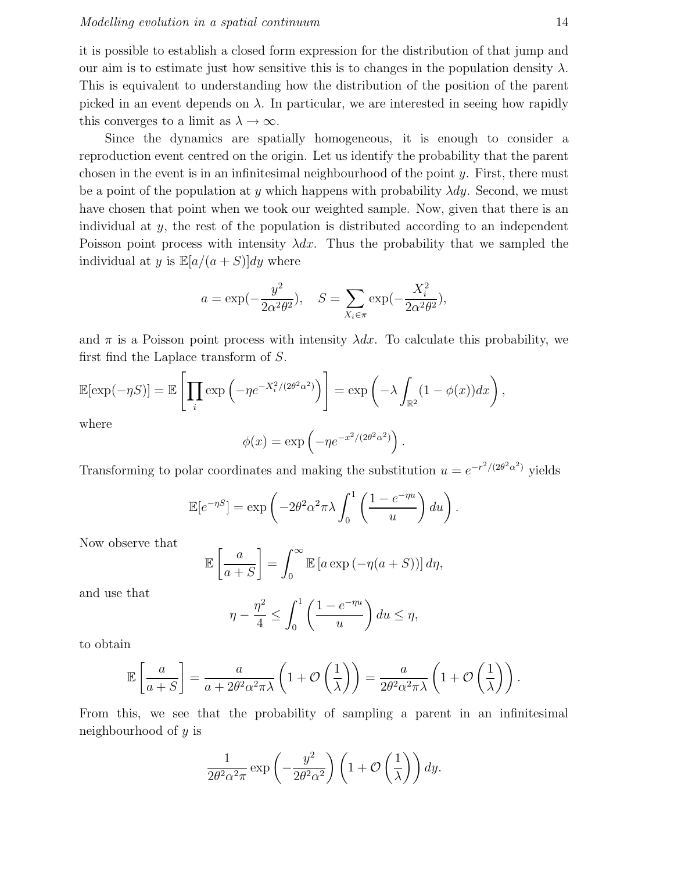it is possible to establish a closed form expression for the distribution of that jump and our aim is to estimate just how sensitive this is to changes in the population density  $\lambda$ . This is equivalent to understanding how the distribution of the position of the parent picked in an event depends on  $\lambda$ . In particular, we are interested in seeing how rapidly this converges to a limit as  $\lambda \to \infty$ .

Since the dynamics are spatially homogeneous, it is enough to consider a reproduction event centred on the origin. Let us identify the probability that the parent chosen in the event is in an infinitesimal neighbourhood of the point  $y$ . First, there must be a point of the population at y which happens with probability  $\lambda dy$ . Second, we must have chosen that point when we took our weighted sample. Now, given that there is an individual at  $y$ , the rest of the population is distributed according to an independent Poisson point process with intensity  $\lambda dx$ . Thus the probability that we sampled the individual at y is  $\mathbb{E}[a/(a+S)]dy$  where

$$
a = \exp(-\frac{y^2}{2\alpha^2 \theta^2}), \quad S = \sum_{X_i \in \pi} \exp(-\frac{X_i^2}{2\alpha^2 \theta^2}),
$$

and  $\pi$  is a Poisson point process with intensity  $\lambda dx$ . To calculate this probability, we first find the Laplace transform of S.

$$
\mathbb{E}[\exp(-\eta S)] = \mathbb{E}\left[\prod_i \exp\left(-\eta e^{-X_i^2/(2\theta^2\alpha^2)}\right)\right] = \exp\left(-\lambda \int_{\mathbb{R}^2} (1-\phi(x))dx\right),
$$

where

$$
\phi(x) = \exp\left(-\eta e^{-x^2/(2\theta^2\alpha^2)}\right).
$$

Transforming to polar coordinates and making the substitution  $u = e^{-r^2/(2\theta^2 \alpha^2)}$  yields

$$
\mathbb{E}[e^{-\eta S}] = \exp\left(-2\theta^2 \alpha^2 \pi \lambda \int_0^1 \left(\frac{1 - e^{-\eta u}}{u}\right) du\right).
$$

Now observe that

$$
\mathbb{E}\left[\frac{a}{a+S}\right] = \int_0^\infty \mathbb{E}\left[a\exp\left(-\eta(a+S)\right)\right]d\eta,
$$

and use that

$$
\eta - \frac{\eta^2}{4} \le \int_0^1 \left( \frac{1 - e^{-\eta u}}{u} \right) du \le \eta,
$$

to obtain

$$
\mathbb{E}\left[\frac{a}{a+S}\right] = \frac{a}{a+2\theta^2\alpha^2\pi\lambda}\left(1+\mathcal{O}\left(\frac{1}{\lambda}\right)\right) = \frac{a}{2\theta^2\alpha^2\pi\lambda}\left(1+\mathcal{O}\left(\frac{1}{\lambda}\right)\right).
$$

From this, we see that the probability of sampling a parent in an infinitesimal neighbourhood of y is

$$
\frac{1}{2\theta^2\alpha^2\pi} \exp\left(-\frac{y^2}{2\theta^2\alpha^2}\right) \left(1 + \mathcal{O}\left(\frac{1}{\lambda}\right)\right) dy.
$$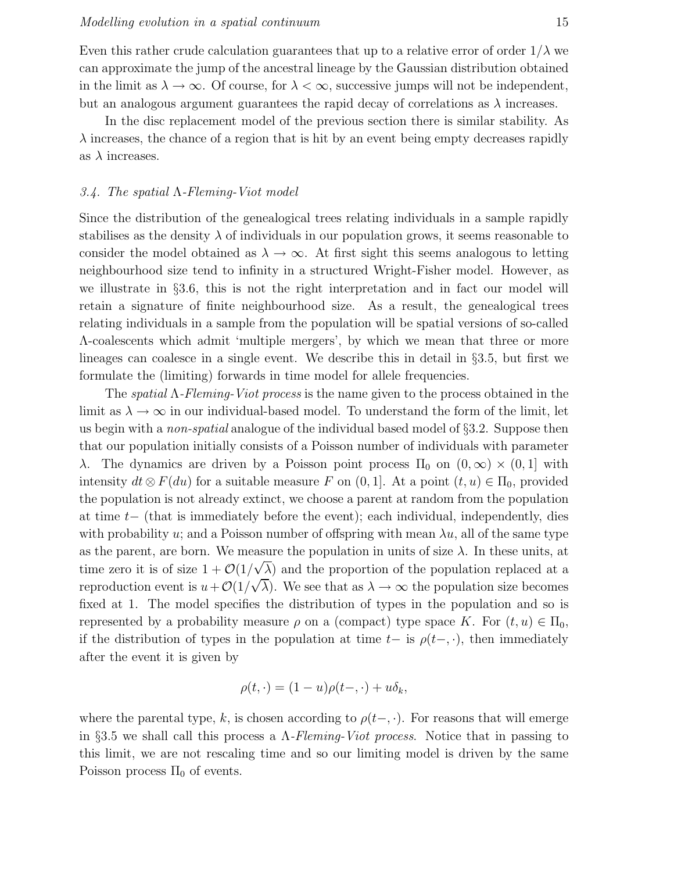Even this rather crude calculation guarantees that up to a relative error of order  $1/\lambda$  we can approximate the jump of the ancestral lineage by the Gaussian distribution obtained in the limit as  $\lambda \to \infty$ . Of course, for  $\lambda < \infty$ , successive jumps will not be independent, but an analogous argument guarantees the rapid decay of correlations as  $\lambda$  increases.

In the disc replacement model of the previous section there is similar stability. As  $\lambda$  increases, the chance of a region that is hit by an event being empty decreases rapidly as  $\lambda$  increases.

#### 3.4. The spatial  $\Lambda$ -Fleming-Viot model

Since the distribution of the genealogical trees relating individuals in a sample rapidly stabilises as the density  $\lambda$  of individuals in our population grows, it seems reasonable to consider the model obtained as  $\lambda \to \infty$ . At first sight this seems analogous to letting neighbourhood size tend to infinity in a structured Wright-Fisher model. However, as we illustrate in §3.6, this is not the right interpretation and in fact our model will retain a signature of finite neighbourhood size. As a result, the genealogical trees relating individuals in a sample from the population will be spatial versions of so-called Λ-coalescents which admit 'multiple mergers', by which we mean that three or more lineages can coalesce in a single event. We describe this in detail in §3.5, but first we formulate the (limiting) forwards in time model for allele frequencies.

The spatial Λ-Fleming-Viot process is the name given to the process obtained in the limit as  $\lambda \to \infty$  in our individual-based model. To understand the form of the limit, let us begin with a *non-spatial* analogue of the individual based model of §3.2. Suppose then that our population initially consists of a Poisson number of individuals with parameter λ. The dynamics are driven by a Poisson point process  $\Pi_0$  on  $(0,\infty) \times (0,1]$  with intensity  $dt \otimes F(du)$  for a suitable measure F on  $(0, 1]$ . At a point  $(t, u) \in \Pi_0$ , provided the population is not already extinct, we choose a parent at random from the population at time t− (that is immediately before the event); each individual, independently, dies with probability u; and a Poisson number of offspring with mean  $\lambda u$ , all of the same type as the parent, are born. We measure the population in units of size  $\lambda$ . In these units, at time zero it is of size  $1 + \mathcal{O}(1/\sqrt{\lambda})$  and the proportion of the population replaced at a reproduction event is  $u + \mathcal{O}(1/\sqrt{\lambda})$ . We see that as  $\lambda \to \infty$  the population size becomes fixed at 1. The model specifies the distribution of types in the population and so is represented by a probability measure  $\rho$  on a (compact) type space K. For  $(t, u) \in \Pi_0$ , if the distribution of types in the population at time  $t-$  is  $\rho(t-,\cdot)$ , then immediately after the event it is given by

$$
\rho(t,\cdot)=(1-u)\rho(t-,\cdot)+u\delta_{k_1}
$$

where the parental type, k, is chosen according to  $\rho(t-,\cdot)$ . For reasons that will emerge in §3.5 we shall call this process a  $\Lambda$ -Fleming-Viot process. Notice that in passing to this limit, we are not rescaling time and so our limiting model is driven by the same Poisson process  $\Pi_0$  of events.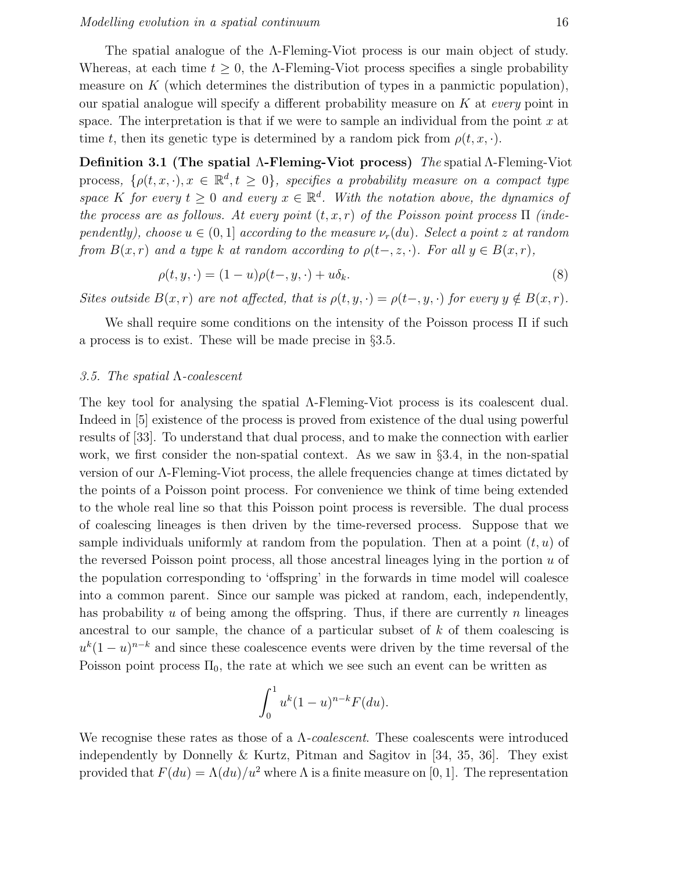The spatial analogue of the Λ-Fleming-Viot process is our main object of study. Whereas, at each time  $t \geq 0$ , the A-Fleming-Viot process specifies a single probability measure on  $K$  (which determines the distribution of types in a panmictic population), our spatial analogue will specify a different probability measure on  $K$  at every point in space. The interpretation is that if we were to sample an individual from the point  $x$  at time t, then its genetic type is determined by a random pick from  $\rho(t, x, \cdot)$ .

Definition 3.1 (The spatial Λ-Fleming-Viot process) The spatial Λ-Fleming-Viot process,  $\{\rho(t,x,\cdot), x \in \mathbb{R}^d, t \geq 0\}$ , specifies a probability measure on a compact type space K for every  $t \geq 0$  and every  $x \in \mathbb{R}^d$ . With the notation above, the dynamics of the process are as follows. At every point  $(t, x, r)$  of the Poisson point process  $\Pi$  (independently), choose  $u \in (0,1]$  according to the measure  $\nu_r(du)$ . Select a point z at random from  $B(x, r)$  and a type k at random according to  $\rho(t-, z, \cdot)$ . For all  $y \in B(x, r)$ ,

$$
\rho(t, y, \cdot) = (1 - u)\rho(t-, y, \cdot) + u\delta_k.
$$
\n
$$
(8)
$$

Sites outside  $B(x, r)$  are not affected, that is  $\rho(t, y, \cdot) = \rho(t-, y, \cdot)$  for every  $y \notin B(x, r)$ .

We shall require some conditions on the intensity of the Poisson process Π if such a process is to exist. These will be made precise in §3.5.

#### 3.5. The spatial  $\Lambda$ -coalescent

The key tool for analysing the spatial Λ-Fleming-Viot process is its coalescent dual. Indeed in [5] existence of the process is proved from existence of the dual using powerful results of [33]. To understand that dual process, and to make the connection with earlier work, we first consider the non-spatial context. As we saw in §3.4, in the non-spatial version of our Λ-Fleming-Viot process, the allele frequencies change at times dictated by the points of a Poisson point process. For convenience we think of time being extended to the whole real line so that this Poisson point process is reversible. The dual process of coalescing lineages is then driven by the time-reversed process. Suppose that we sample individuals uniformly at random from the population. Then at a point  $(t, u)$  of the reversed Poisson point process, all those ancestral lineages lying in the portion  $u$  of the population corresponding to 'offspring' in the forwards in time model will coalesce into a common parent. Since our sample was picked at random, each, independently, has probability u of being among the offspring. Thus, if there are currently n lineages ancestral to our sample, the chance of a particular subset of  $k$  of them coalescing is  $u^{k}(1-u)^{n-k}$  and since these coalescence events were driven by the time reversal of the Poisson point process  $\Pi_0$ , the rate at which we see such an event can be written as

$$
\int_0^1 u^k (1-u)^{n-k} F(du).
$$

We recognise these rates as those of a  $\Lambda$ -coalescent. These coalescents were introduced independently by Donnelly & Kurtz, Pitman and Sagitov in [34, 35, 36]. They exist provided that  $F(du) = \Lambda(du)/u^2$  where  $\Lambda$  is a finite measure on [0, 1]. The representation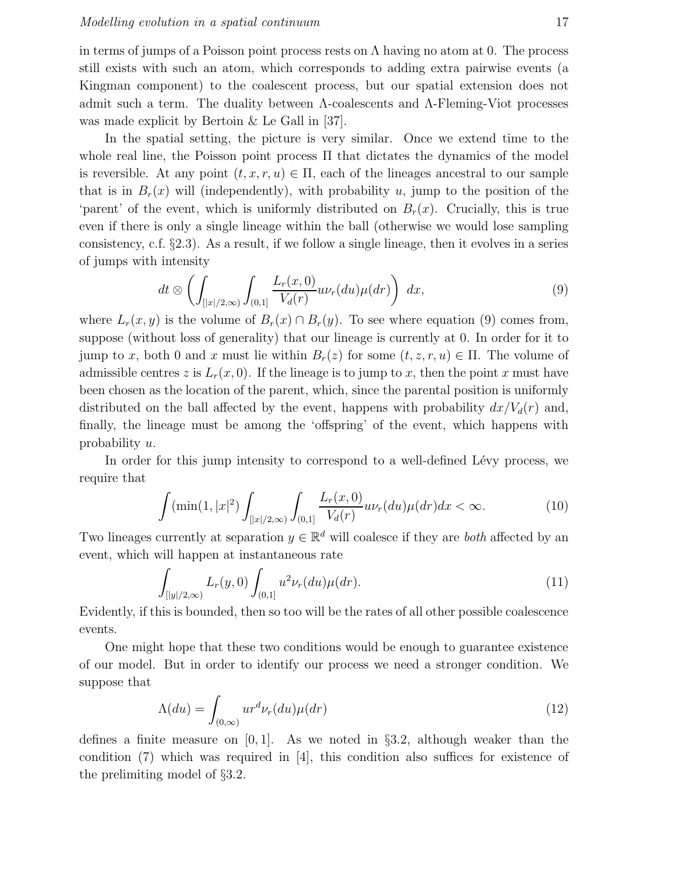in terms of jumps of a Poisson point process rests on  $\Lambda$  having no atom at 0. The process still exists with such an atom, which corresponds to adding extra pairwise events (a Kingman component) to the coalescent process, but our spatial extension does not admit such a term. The duality between  $\Lambda$ -coalescents and  $\Lambda$ -Fleming-Viot processes was made explicit by Bertoin & Le Gall in [37].

In the spatial setting, the picture is very similar. Once we extend time to the whole real line, the Poisson point process  $\Pi$  that dictates the dynamics of the model is reversible. At any point  $(t, x, r, u) \in \Pi$ , each of the lineages ancestral to our sample that is in  $B_r(x)$  will (independently), with probability u, jump to the position of the 'parent' of the event, which is uniformly distributed on  $B_r(x)$ . Crucially, this is true even if there is only a single lineage within the ball (otherwise we would lose sampling consistency, c.f. §2.3). As a result, if we follow a single lineage, then it evolves in a series of jumps with intensity

$$
dt \otimes \left( \int_{\left[ |x|/2, \infty\right)} \int_{(0,1]} \frac{L_r(x,0)}{V_d(r)} u \nu_r(du) \mu(dr) \right) dx, \tag{9}
$$

where  $L_r(x, y)$  is the volume of  $B_r(x) \cap B_r(y)$ . To see where equation (9) comes from, suppose (without loss of generality) that our lineage is currently at 0. In order for it to jump to x, both 0 and x must lie within  $B_r(z)$  for some  $(t, z, r, u) \in \Pi$ . The volume of admissible centres z is  $L_r(x, 0)$ . If the lineage is to jump to x, then the point x must have been chosen as the location of the parent, which, since the parental position is uniformly distributed on the ball affected by the event, happens with probability  $dx/V_d(r)$  and, finally, the lineage must be among the 'offspring' of the event, which happens with probability u.

In order for this jump intensity to correspond to a well-defined Lévy process, we require that

$$
\int (\min(1, |x|^2) \int_{[|x|/2,\infty)} \int_{(0,1]} \frac{L_r(x,0)}{V_d(r)} u \nu_r(du) \mu(dr) dx < \infty. \tag{10}
$$

Two lineages currently at separation  $y \in \mathbb{R}^d$  will coalesce if they are *both* affected by an event, which will happen at instantaneous rate

$$
\int_{[|y|/2,\infty)} L_r(y,0) \int_{(0,1]} u^2 \nu_r(du) \mu(dr). \tag{11}
$$

Evidently, if this is bounded, then so too will be the rates of all other possible coalescence events.

One might hope that these two conditions would be enough to guarantee existence of our model. But in order to identify our process we need a stronger condition. We suppose that

$$
\Lambda(du) = \int_{(0,\infty)} u r^d \nu_r(du) \mu(dr) \tag{12}
$$

defines a finite measure on  $[0, 1]$ . As we noted in §3.2, although weaker than the condition (7) which was required in [4], this condition also suffices for existence of the prelimiting model of §3.2.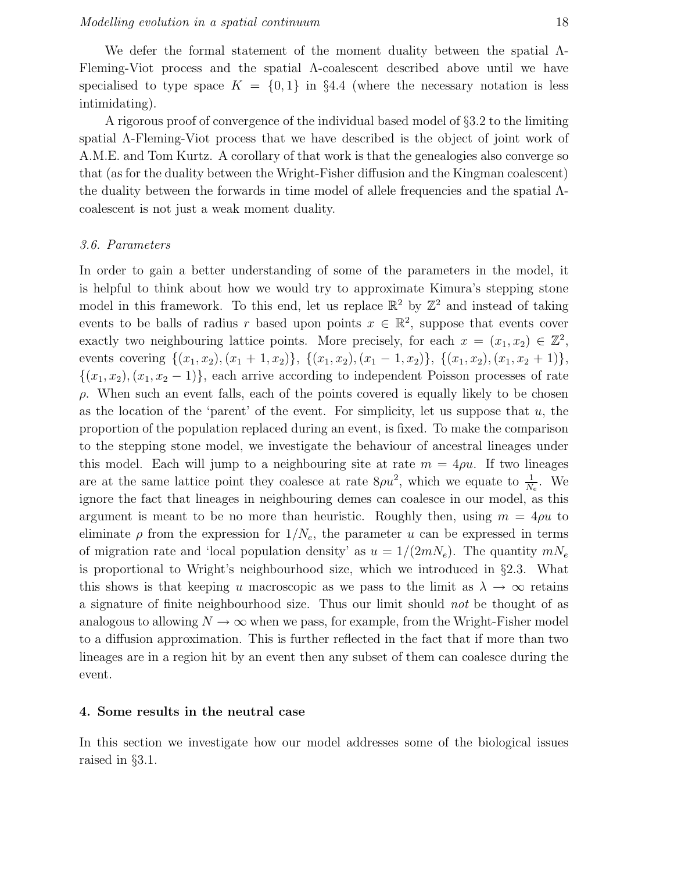We defer the formal statement of the moment duality between the spatial Λ-Fleming-Viot process and the spatial Λ-coalescent described above until we have specialised to type space  $K = \{0, 1\}$  in §4.4 (where the necessary notation is less intimidating).

A rigorous proof of convergence of the individual based model of §3.2 to the limiting spatial Λ-Fleming-Viot process that we have described is the object of joint work of A.M.E. and Tom Kurtz. A corollary of that work is that the genealogies also converge so that (as for the duality between the Wright-Fisher diffusion and the Kingman coalescent) the duality between the forwards in time model of allele frequencies and the spatial Λcoalescent is not just a weak moment duality.

#### 3.6. Parameters

In order to gain a better understanding of some of the parameters in the model, it is helpful to think about how we would try to approximate Kimura's stepping stone model in this framework. To this end, let us replace  $\mathbb{R}^2$  by  $\mathbb{Z}^2$  and instead of taking events to be balls of radius r based upon points  $x \in \mathbb{R}^2$ , suppose that events cover exactly two neighbouring lattice points. More precisely, for each  $x = (x_1, x_2) \in \mathbb{Z}^2$ , events covering  $\{(x_1, x_2), (x_1 + 1, x_2)\}, \{(x_1, x_2), (x_1 - 1, x_2)\}, \{(x_1, x_2), (x_1, x_2 + 1)\},\$  $\{(x_1, x_2), (x_1, x_2 - 1)\}\$ , each arrive according to independent Poisson processes of rate  $\rho$ . When such an event falls, each of the points covered is equally likely to be chosen as the location of the 'parent' of the event. For simplicity, let us suppose that  $u$ , the proportion of the population replaced during an event, is fixed. To make the comparison to the stepping stone model, we investigate the behaviour of ancestral lineages under this model. Each will jump to a neighbouring site at rate  $m = 4\rho u$ . If two lineages are at the same lattice point they coalesce at rate  $8\rho u^2$ , which we equate to  $\frac{1}{N_e}$ . We ignore the fact that lineages in neighbouring demes can coalesce in our model, as this argument is meant to be no more than heuristic. Roughly then, using  $m = 4\rho u$  to eliminate  $\rho$  from the expression for  $1/N_e$ , the parameter u can be expressed in terms of migration rate and 'local population density' as  $u = 1/(2mN_e)$ . The quantity  $mN_e$ is proportional to Wright's neighbourhood size, which we introduced in §2.3. What this shows is that keeping u macroscopic as we pass to the limit as  $\lambda \to \infty$  retains a signature of finite neighbourhood size. Thus our limit should not be thought of as analogous to allowing  $N \to \infty$  when we pass, for example, from the Wright-Fisher model to a diffusion approximation. This is further reflected in the fact that if more than two lineages are in a region hit by an event then any subset of them can coalesce during the event.

## 4. Some results in the neutral case

In this section we investigate how our model addresses some of the biological issues raised in §3.1.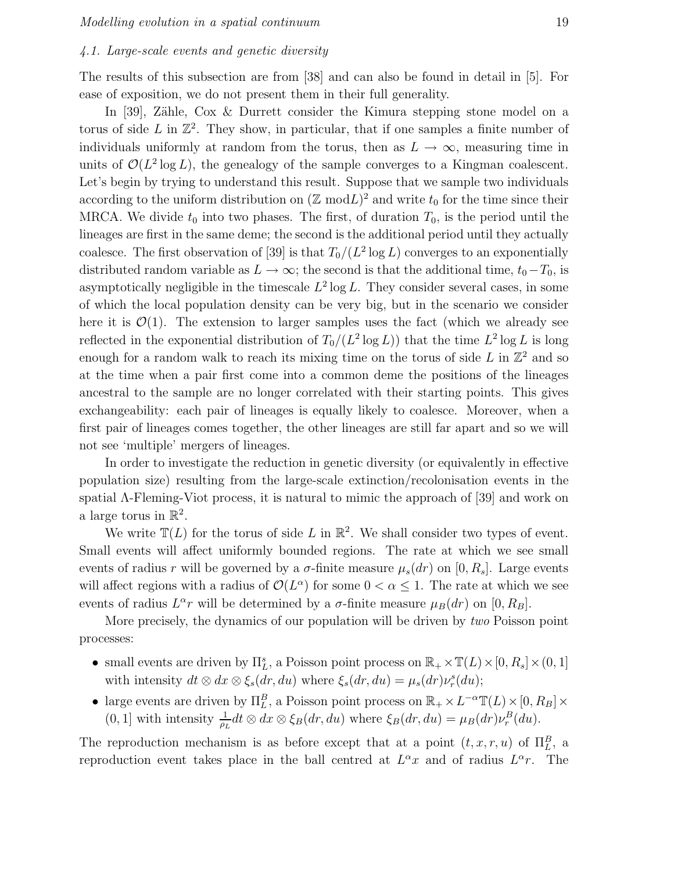## 4.1. Large-scale events and genetic diversity

The results of this subsection are from [38] and can also be found in detail in [5]. For ease of exposition, we do not present them in their full generality.

In [39], Zähle,  $\cos \&$  Durrett consider the Kimura stepping stone model on a torus of side  $L$  in  $\mathbb{Z}^2$ . They show, in particular, that if one samples a finite number of individuals uniformly at random from the torus, then as  $L \to \infty$ , measuring time in units of  $\mathcal{O}(L^2 \log L)$ , the genealogy of the sample converges to a Kingman coalescent. Let's begin by trying to understand this result. Suppose that we sample two individuals according to the uniform distribution on  $(\mathbb{Z} \mod L)^2$  and write  $t_0$  for the time since their MRCA. We divide  $t_0$  into two phases. The first, of duration  $T_0$ , is the period until the lineages are first in the same deme; the second is the additional period until they actually coalesce. The first observation of [39] is that  $T_0/(L^2 \log L)$  converges to an exponentially distributed random variable as  $L \to \infty$ ; the second is that the additional time,  $t_0-T_0$ , is asymptotically negligible in the timescale  $L^2 \log L$ . They consider several cases, in some of which the local population density can be very big, but in the scenario we consider here it is  $\mathcal{O}(1)$ . The extension to larger samples uses the fact (which we already see reflected in the exponential distribution of  $T_0/(L^2 \log L)$  that the time  $L^2 \log L$  is long enough for a random walk to reach its mixing time on the torus of side  $L$  in  $\mathbb{Z}^2$  and so at the time when a pair first come into a common deme the positions of the lineages ancestral to the sample are no longer correlated with their starting points. This gives exchangeability: each pair of lineages is equally likely to coalesce. Moreover, when a first pair of lineages comes together, the other lineages are still far apart and so we will not see 'multiple' mergers of lineages.

In order to investigate the reduction in genetic diversity (or equivalently in effective population size) resulting from the large-scale extinction/recolonisation events in the spatial Λ-Fleming-Viot process, it is natural to mimic the approach of [39] and work on a large torus in  $\mathbb{R}^2$ .

We write  $\mathbb{T}(L)$  for the torus of side L in  $\mathbb{R}^2$ . We shall consider two types of event. Small events will affect uniformly bounded regions. The rate at which we see small events of radius r will be governed by a  $\sigma$ -finite measure  $\mu_s(dr)$  on  $[0, R_s]$ . Large events will affect regions with a radius of  $\mathcal{O}(L^{\alpha})$  for some  $0 < \alpha \leq 1$ . The rate at which we see events of radius  $L^{\alpha}r$  will be determined by a  $\sigma$ -finite measure  $\mu_B(dr)$  on  $[0, R_B]$ .

More precisely, the dynamics of our population will be driven by two Poisson point processes:

- small events are driven by  $\Pi_L^s$ , a Poisson point process on  $\mathbb{R}_+ \times \mathbb{T}(L) \times [0, R_s] \times (0, 1]$ with intensity  $dt \otimes dx \otimes \xi_s(dr, du)$  where  $\xi_s(dr, du) = \mu_s(dr) \nu_r^s(du);$
- large events are driven by  $\Pi_L^B$ , a Poisson point process on  $\mathbb{R}_+ \times L^{-\alpha} \mathbb{T}(L) \times [0, R_B] \times$  $(0, 1]$  with intensity  $\frac{1}{\rho_L} dt \otimes dx \otimes \xi_B(dr, du)$  where  $\xi_B(dr, du) = \mu_B(dr) \nu_r^B(du)$ .

The reproduction mechanism is as before except that at a point  $(t, x, r, u)$  of  $\Pi_L^B$ , a reproduction event takes place in the ball centred at  $L^{\alpha}x$  and of radius  $L^{\alpha}r$ . The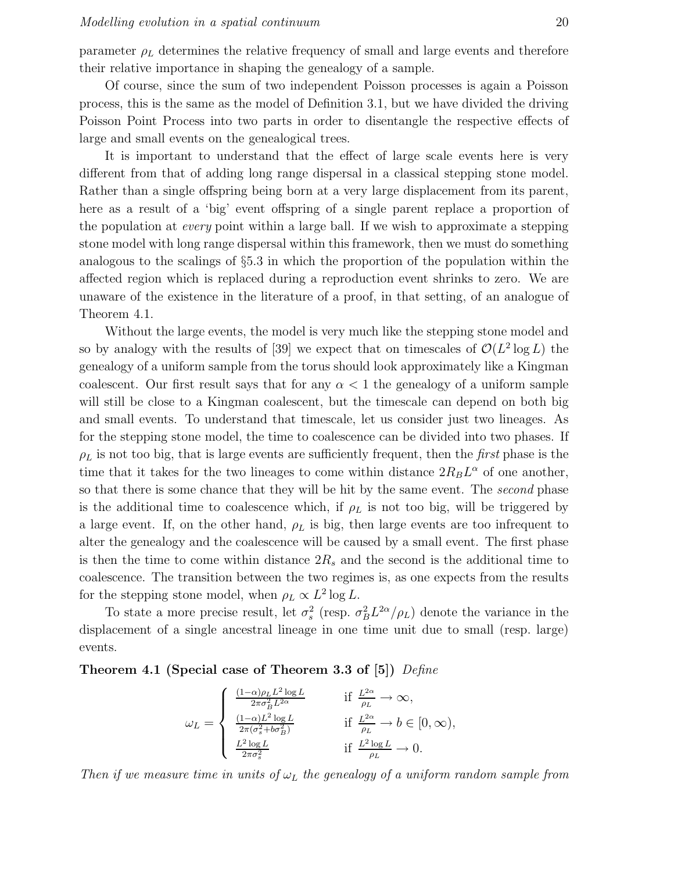parameter  $\rho_L$  determines the relative frequency of small and large events and therefore their relative importance in shaping the genealogy of a sample.

Of course, since the sum of two independent Poisson processes is again a Poisson process, this is the same as the model of Definition 3.1, but we have divided the driving Poisson Point Process into two parts in order to disentangle the respective effects of large and small events on the genealogical trees.

It is important to understand that the effect of large scale events here is very different from that of adding long range dispersal in a classical stepping stone model. Rather than a single offspring being born at a very large displacement from its parent, here as a result of a 'big' event offspring of a single parent replace a proportion of the population at every point within a large ball. If we wish to approximate a stepping stone model with long range dispersal within this framework, then we must do something analogous to the scalings of §5.3 in which the proportion of the population within the affected region which is replaced during a reproduction event shrinks to zero. We are unaware of the existence in the literature of a proof, in that setting, of an analogue of Theorem 4.1.

Without the large events, the model is very much like the stepping stone model and so by analogy with the results of [39] we expect that on timescales of  $\mathcal{O}(L^2 \log L)$  the genealogy of a uniform sample from the torus should look approximately like a Kingman coalescent. Our first result says that for any  $\alpha < 1$  the genealogy of a uniform sample will still be close to a Kingman coalescent, but the timescale can depend on both big and small events. To understand that timescale, let us consider just two lineages. As for the stepping stone model, the time to coalescence can be divided into two phases. If  $\rho_L$  is not too big, that is large events are sufficiently frequent, then the *first* phase is the time that it takes for the two lineages to come within distance  $2R_B L^{\alpha}$  of one another, so that there is some chance that they will be hit by the same event. The *second* phase is the additional time to coalescence which, if  $\rho_L$  is not too big, will be triggered by a large event. If, on the other hand,  $\rho_L$  is big, then large events are too infrequent to alter the genealogy and the coalescence will be caused by a small event. The first phase is then the time to come within distance  $2R_s$  and the second is the additional time to coalescence. The transition between the two regimes is, as one expects from the results for the stepping stone model, when  $\rho_L \propto L^2 \log L$ .

To state a more precise result, let  $\sigma_s^2$  (resp.  $\sigma_B^2 L^{2\alpha}/\rho_L$ ) denote the variance in the displacement of a single ancestral lineage in one time unit due to small (resp. large) events.

## Theorem 4.1 (Special case of Theorem 3.3 of [5]) Define

$$
\omega_L = \begin{cases}\n\frac{(1-\alpha)\rho_L L^2 \log L}{2\pi \sigma_B^2 L^{2\alpha}} & \text{if } \frac{L^{2\alpha}}{\rho_L} \to \infty, \\
\frac{(1-\alpha)L^2 \log L}{2\pi (\sigma_s^2 + b\sigma_B^2)} & \text{if } \frac{L^{2\alpha}}{\rho_L} \to b \in [0, \infty), \\
\frac{L^2 \log L}{2\pi \sigma_s^2} & \text{if } \frac{L^2 \log L}{\rho_L} \to 0.\n\end{cases}
$$

Then if we measure time in units of  $\omega_L$  the genealogy of a uniform random sample from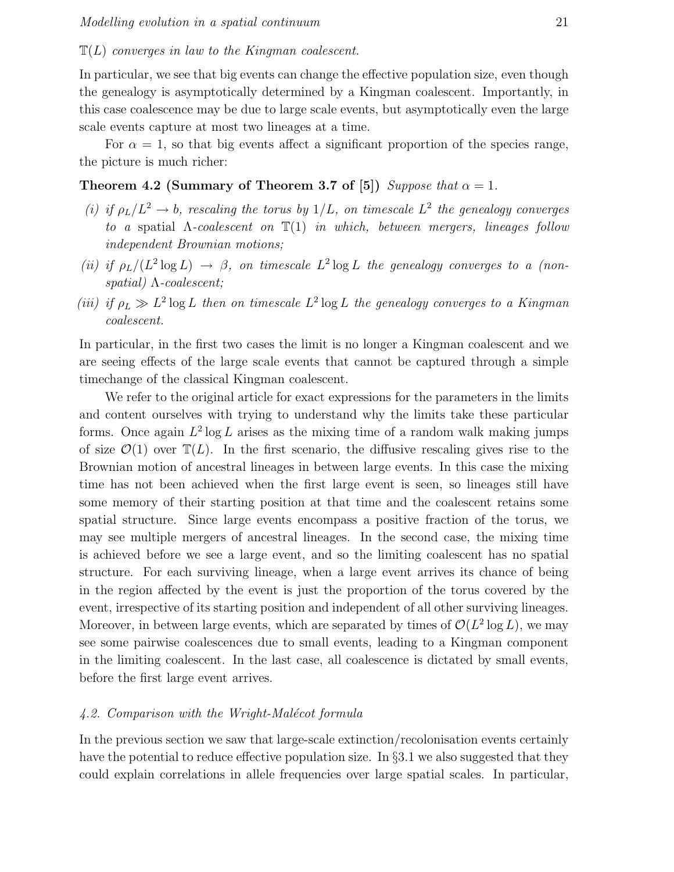## $\mathbb{T}(L)$  converges in law to the Kingman coalescent.

In particular, we see that big events can change the effective population size, even though the genealogy is asymptotically determined by a Kingman coalescent. Importantly, in this case coalescence may be due to large scale events, but asymptotically even the large scale events capture at most two lineages at a time.

For  $\alpha = 1$ , so that big events affect a significant proportion of the species range, the picture is much richer:

# Theorem 4.2 (Summary of Theorem 3.7 of [5]) Suppose that  $\alpha = 1$ .

- (i) if  $\rho_L/L^2 \rightarrow b$ , rescaling the torus by  $1/L$ , on timescale  $L^2$  the genealogy converges to a spatial  $\Lambda$ -coalescent on  $\mathbb{T}(1)$  in which, between mergers, lineages follow independent Brownian motions;
- (ii) if  $\rho_L/(L^2 \log L) \to \beta$ , on timescale  $L^2 \log L$  the genealogy converges to a (nonspatial) Λ-coalescent;
- (iii) if  $\rho_L \gg L^2 \log L$  then on timescale  $L^2 \log L$  the genealogy converges to a Kingman coalescent.

In particular, in the first two cases the limit is no longer a Kingman coalescent and we are seeing effects of the large scale events that cannot be captured through a simple timechange of the classical Kingman coalescent.

We refer to the original article for exact expressions for the parameters in the limits and content ourselves with trying to understand why the limits take these particular forms. Once again  $L^2 \log L$  arises as the mixing time of a random walk making jumps of size  $\mathcal{O}(1)$  over  $\mathbb{T}(L)$ . In the first scenario, the diffusive rescaling gives rise to the Brownian motion of ancestral lineages in between large events. In this case the mixing time has not been achieved when the first large event is seen, so lineages still have some memory of their starting position at that time and the coalescent retains some spatial structure. Since large events encompass a positive fraction of the torus, we may see multiple mergers of ancestral lineages. In the second case, the mixing time is achieved before we see a large event, and so the limiting coalescent has no spatial structure. For each surviving lineage, when a large event arrives its chance of being in the region affected by the event is just the proportion of the torus covered by the event, irrespective of its starting position and independent of all other surviving lineages. Moreover, in between large events, which are separated by times of  $\mathcal{O}(L^2 \log L)$ , we may see some pairwise coalescences due to small events, leading to a Kingman component in the limiting coalescent. In the last case, all coalescence is dictated by small events, before the first large event arrives.

#### $4.2.$  Comparison with the Wright-Malécot formula

In the previous section we saw that large-scale extinction/recolonisation events certainly have the potential to reduce effective population size. In  $\S 3.1$  we also suggested that they could explain correlations in allele frequencies over large spatial scales. In particular,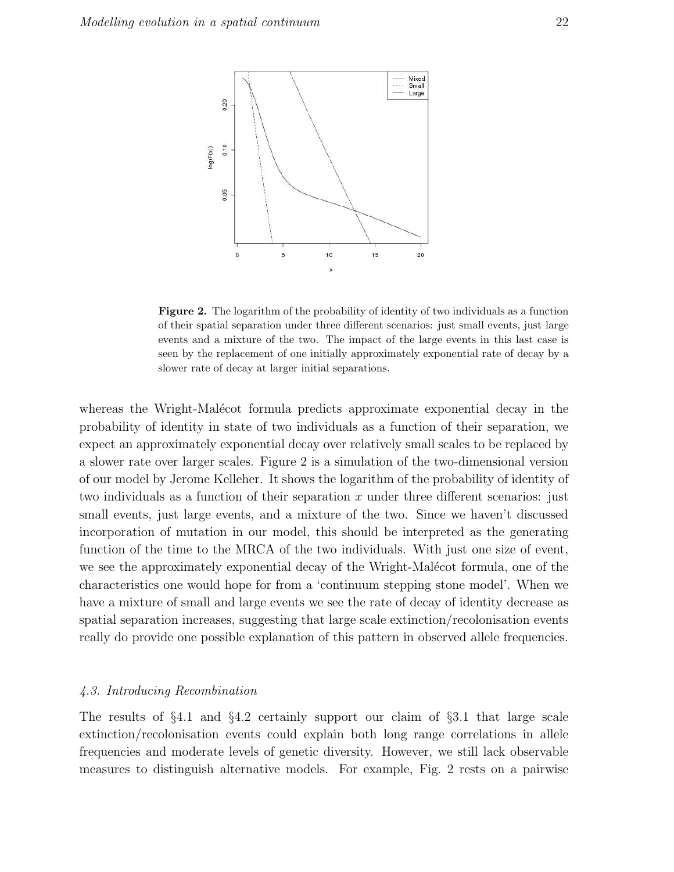

Figure 2. The logarithm of the probability of identity of two individuals as a function of their spatial separation under three different scenarios: just small events, just large events and a mixture of the two. The impact of the large events in this last case is seen by the replacement of one initially approximately exponential rate of decay by a slower rate of decay at larger initial separations.

whereas the Wright-Malécot formula predicts approximate exponential decay in the probability of identity in state of two individuals as a function of their separation, we expect an approximately exponential decay over relatively small scales to be replaced by a slower rate over larger scales. Figure 2 is a simulation of the two-dimensional version of our model by Jerome Kelleher. It shows the logarithm of the probability of identity of two individuals as a function of their separation  $x$  under three different scenarios: just small events, just large events, and a mixture of the two. Since we haven't discussed incorporation of mutation in our model, this should be interpreted as the generating function of the time to the MRCA of the two individuals. With just one size of event, we see the approximately exponential decay of the Wright-Malécot formula, one of the characteristics one would hope for from a 'continuum stepping stone model'. When we have a mixture of small and large events we see the rate of decay of identity decrease as spatial separation increases, suggesting that large scale extinction/recolonisation events really do provide one possible explanation of this pattern in observed allele frequencies.

#### 4.3. Introducing Recombination

The results of  $\S 4.1$  and  $\S 4.2$  certainly support our claim of  $\S 3.1$  that large scale extinction/recolonisation events could explain both long range correlations in allele frequencies and moderate levels of genetic diversity. However, we still lack observable measures to distinguish alternative models. For example, Fig. 2 rests on a pairwise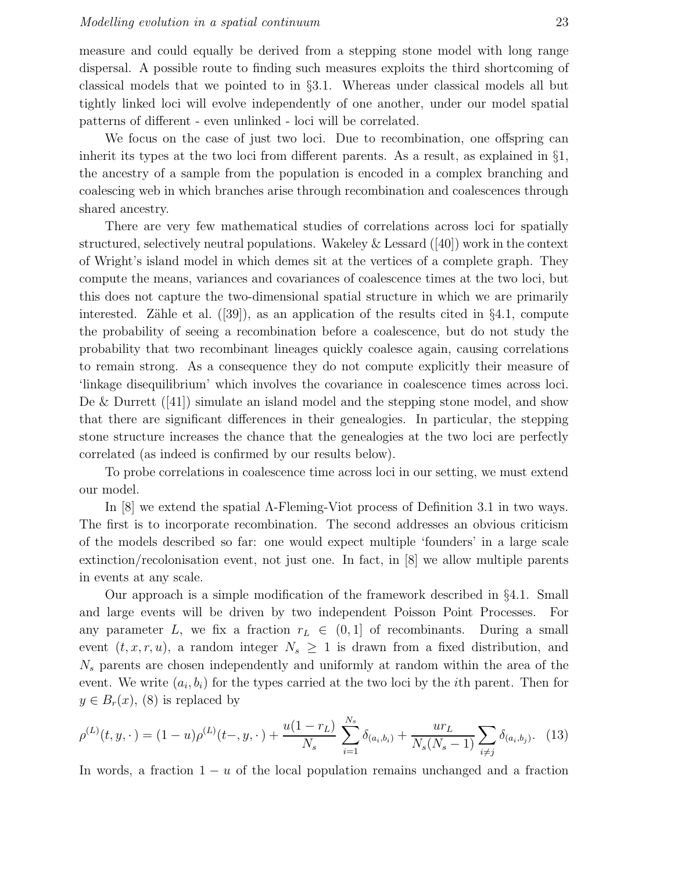measure and could equally be derived from a stepping stone model with long range dispersal. A possible route to finding such measures exploits the third shortcoming of classical models that we pointed to in §3.1. Whereas under classical models all but tightly linked loci will evolve independently of one another, under our model spatial patterns of different - even unlinked - loci will be correlated.

We focus on the case of just two loci. Due to recombination, one offspring can inherit its types at the two loci from different parents. As a result, as explained in §1, the ancestry of a sample from the population is encoded in a complex branching and coalescing web in which branches arise through recombination and coalescences through shared ancestry.

There are very few mathematical studies of correlations across loci for spatially structured, selectively neutral populations. Wakeley & Lessard ([40]) work in the context of Wright's island model in which demes sit at the vertices of a complete graph. They compute the means, variances and covariances of coalescence times at the two loci, but this does not capture the two-dimensional spatial structure in which we are primarily interested. Zähle et al.  $([39])$ , as an application of the results cited in §4.1, compute the probability of seeing a recombination before a coalescence, but do not study the probability that two recombinant lineages quickly coalesce again, causing correlations to remain strong. As a consequence they do not compute explicitly their measure of 'linkage disequilibrium' which involves the covariance in coalescence times across loci. De & Durrett  $(41)$  simulate an island model and the stepping stone model, and show that there are significant differences in their genealogies. In particular, the stepping stone structure increases the chance that the genealogies at the two loci are perfectly correlated (as indeed is confirmed by our results below).

To probe correlations in coalescence time across loci in our setting, we must extend our model.

In [8] we extend the spatial  $\Lambda$ -Fleming-Viot process of Definition 3.1 in two ways. The first is to incorporate recombination. The second addresses an obvious criticism of the models described so far: one would expect multiple 'founders' in a large scale extinction/recolonisation event, not just one. In fact, in [8] we allow multiple parents in events at any scale.

Our approach is a simple modification of the framework described in §4.1. Small and large events will be driven by two independent Poisson Point Processes. For any parameter L, we fix a fraction  $r_L \in (0,1]$  of recombinants. During a small event  $(t, x, r, u)$ , a random integer  $N_s \geq 1$  is drawn from a fixed distribution, and  $N<sub>s</sub>$  parents are chosen independently and uniformly at random within the area of the event. We write  $(a_i, b_i)$  for the types carried at the two loci by the *i*th parent. Then for  $y \in B_r(x)$ , (8) is replaced by

$$
\rho^{(L)}(t, y, \cdot) = (1 - u)\rho^{(L)}(t-, y, \cdot) + \frac{u(1 - r_L)}{N_s} \sum_{i=1}^{N_s} \delta_{(a_i, b_i)} + \frac{ur_L}{N_s(N_s - 1)} \sum_{i \neq j} \delta_{(a_i, b_j)}.
$$
 (13)

In words, a fraction  $1 - u$  of the local population remains unchanged and a fraction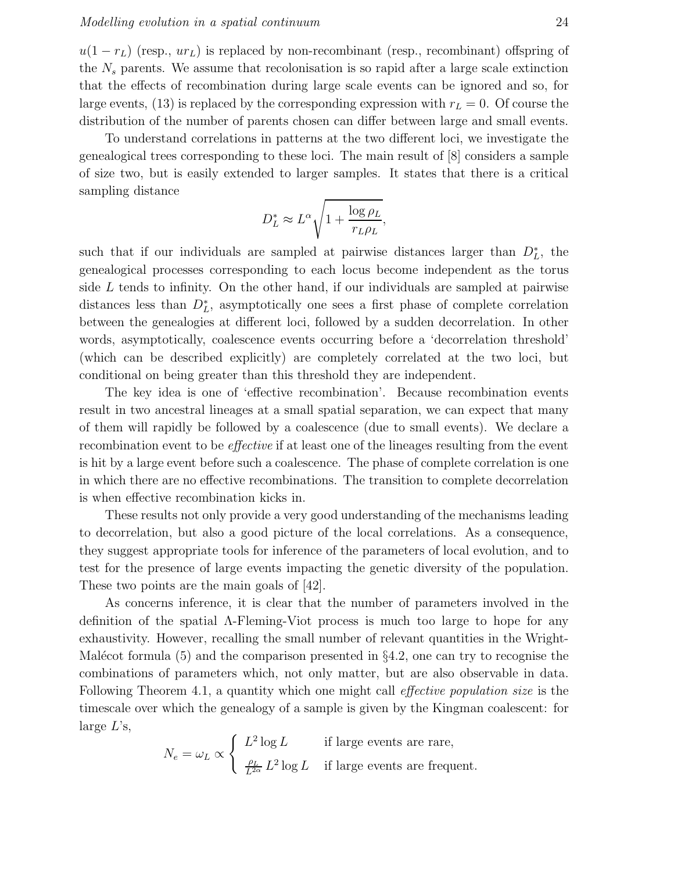$u(1 - r_L)$  (resp.,  $ur_L$ ) is replaced by non-recombinant (resp., recombinant) offspring of the  $N<sub>s</sub>$  parents. We assume that recolonisation is so rapid after a large scale extinction that the effects of recombination during large scale events can be ignored and so, for large events, (13) is replaced by the corresponding expression with  $r<sub>L</sub> = 0$ . Of course the distribution of the number of parents chosen can differ between large and small events.

To understand correlations in patterns at the two different loci, we investigate the genealogical trees corresponding to these loci. The main result of [8] considers a sample of size two, but is easily extended to larger samples. It states that there is a critical sampling distance

$$
D_L^* \approx L^{\alpha} \sqrt{1 + \frac{\log \rho_L}{r_L \rho_L}},
$$

such that if our individuals are sampled at pairwise distances larger than  $D<sub>L</sub><sup>*</sup>$ , the genealogical processes corresponding to each locus become independent as the torus side  $L$  tends to infinity. On the other hand, if our individuals are sampled at pairwise distances less than  $D<sub>L</sub><sup>*</sup>$ , asymptotically one sees a first phase of complete correlation between the genealogies at different loci, followed by a sudden decorrelation. In other words, asymptotically, coalescence events occurring before a 'decorrelation threshold' (which can be described explicitly) are completely correlated at the two loci, but conditional on being greater than this threshold they are independent.

The key idea is one of 'effective recombination'. Because recombination events result in two ancestral lineages at a small spatial separation, we can expect that many of them will rapidly be followed by a coalescence (due to small events). We declare a recombination event to be effective if at least one of the lineages resulting from the event is hit by a large event before such a coalescence. The phase of complete correlation is one in which there are no effective recombinations. The transition to complete decorrelation is when effective recombination kicks in.

These results not only provide a very good understanding of the mechanisms leading to decorrelation, but also a good picture of the local correlations. As a consequence, they suggest appropriate tools for inference of the parameters of local evolution, and to test for the presence of large events impacting the genetic diversity of the population. These two points are the main goals of [42].

As concerns inference, it is clear that the number of parameters involved in the definition of the spatial Λ-Fleming-Viot process is much too large to hope for any exhaustivity. However, recalling the small number of relevant quantities in the Wright-Malécot formula  $(5)$  and the comparison presented in §4.2, one can try to recognise the combinations of parameters which, not only matter, but are also observable in data. Following Theorem 4.1, a quantity which one might call *effective population size* is the timescale over which the genealogy of a sample is given by the Kingman coalescent: for large  $L$ 's,

$$
N_e = \omega_L \propto \begin{cases} L^2 \log L & \text{if large events are rare,} \\ \frac{\rho_L}{L^{2\alpha}} L^2 \log L & \text{if large events are frequent.} \end{cases}
$$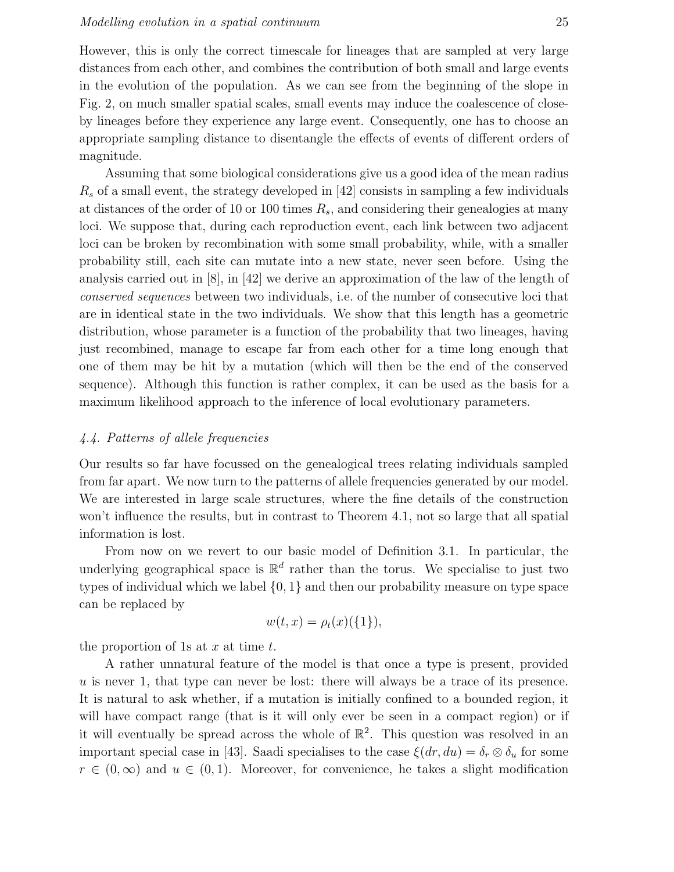However, this is only the correct timescale for lineages that are sampled at very large distances from each other, and combines the contribution of both small and large events in the evolution of the population. As we can see from the beginning of the slope in Fig. 2, on much smaller spatial scales, small events may induce the coalescence of closeby lineages before they experience any large event. Consequently, one has to choose an appropriate sampling distance to disentangle the effects of events of different orders of magnitude.

Assuming that some biological considerations give us a good idea of the mean radius  $R<sub>s</sub>$  of a small event, the strategy developed in [42] consists in sampling a few individuals at distances of the order of 10 or 100 times  $R_s$ , and considering their genealogies at many loci. We suppose that, during each reproduction event, each link between two adjacent loci can be broken by recombination with some small probability, while, with a smaller probability still, each site can mutate into a new state, never seen before. Using the analysis carried out in [8], in [42] we derive an approximation of the law of the length of conserved sequences between two individuals, i.e. of the number of consecutive loci that are in identical state in the two individuals. We show that this length has a geometric distribution, whose parameter is a function of the probability that two lineages, having just recombined, manage to escape far from each other for a time long enough that one of them may be hit by a mutation (which will then be the end of the conserved sequence). Although this function is rather complex, it can be used as the basis for a maximum likelihood approach to the inference of local evolutionary parameters.

## 4.4. Patterns of allele frequencies

Our results so far have focussed on the genealogical trees relating individuals sampled from far apart. We now turn to the patterns of allele frequencies generated by our model. We are interested in large scale structures, where the fine details of the construction won't influence the results, but in contrast to Theorem 4.1, not so large that all spatial information is lost.

From now on we revert to our basic model of Definition 3.1. In particular, the underlying geographical space is  $\mathbb{R}^d$  rather than the torus. We specialise to just two types of individual which we label {0, 1} and then our probability measure on type space can be replaced by

$$
w(t,x) = \rho_t(x)(\{1\}),
$$

the proportion of 1s at  $x$  at time  $t$ .

A rather unnatural feature of the model is that once a type is present, provided  $u$  is never 1, that type can never be lost: there will always be a trace of its presence. It is natural to ask whether, if a mutation is initially confined to a bounded region, it will have compact range (that is it will only ever be seen in a compact region) or if it will eventually be spread across the whole of  $\mathbb{R}^2$ . This question was resolved in an important special case in [43]. Saadi specialises to the case  $\xi(dr, du) = \delta_r \otimes \delta_u$  for some  $r \in (0,\infty)$  and  $u \in (0,1)$ . Moreover, for convenience, he takes a slight modification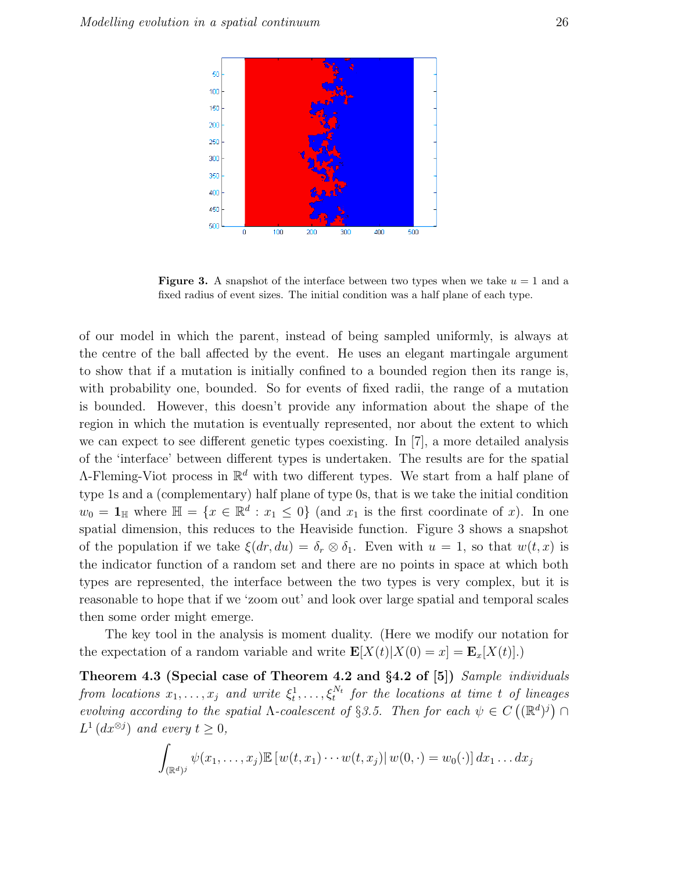

**Figure 3.** A snapshot of the interface between two types when we take  $u = 1$  and a fixed radius of event sizes. The initial condition was a half plane of each type.

of our model in which the parent, instead of being sampled uniformly, is always at the centre of the ball affected by the event. He uses an elegant martingale argument to show that if a mutation is initially confined to a bounded region then its range is, with probability one, bounded. So for events of fixed radii, the range of a mutation is bounded. However, this doesn't provide any information about the shape of the region in which the mutation is eventually represented, nor about the extent to which we can expect to see different genetic types coexisting. In [7], a more detailed analysis of the 'interface' between different types is undertaken. The results are for the spatial  $\Lambda$ -Fleming-Viot process in  $\mathbb{R}^d$  with two different types. We start from a half plane of type 1s and a (complementary) half plane of type 0s, that is we take the initial condition  $w_0 = \mathbf{1}_{\mathbb{H}}$  where  $\mathbb{H} = \{x \in \mathbb{R}^d : x_1 \leq 0\}$  (and  $x_1$  is the first coordinate of x). In one spatial dimension, this reduces to the Heaviside function. Figure 3 shows a snapshot of the population if we take  $\xi(dx, du) = \delta_r \otimes \delta_1$ . Even with  $u = 1$ , so that  $w(t, x)$  is the indicator function of a random set and there are no points in space at which both types are represented, the interface between the two types is very complex, but it is reasonable to hope that if we 'zoom out' and look over large spatial and temporal scales then some order might emerge.

The key tool in the analysis is moment duality. (Here we modify our notation for the expectation of a random variable and write  $\mathbf{E}[X(t)|X(0) = x] = \mathbf{E}_x[X(t)].$ 

Theorem 4.3 (Special case of Theorem 4.2 and §4.2 of [5]) Sample individuals from locations  $x_1, \ldots, x_j$  and write  $\xi_t^1, \ldots, \xi_t^{N_t}$  for the locations at time t of lineages evolving according to the spatial  $\Lambda$ -coalescent of §3.5. Then for each  $\psi \in C((\mathbb{R}^d)^j) \cap$  $L^1(dx^{\otimes j})$  and every  $t \geq 0$ ,

$$
\int_{(\mathbb{R}^d)^j} \psi(x_1,\ldots,x_j) \mathbb{E}\left[w(t,x_1)\cdots w(t,x_j)|\,w(0,\cdot)=w_0(\cdot)\right] dx_1\ldots dx_j
$$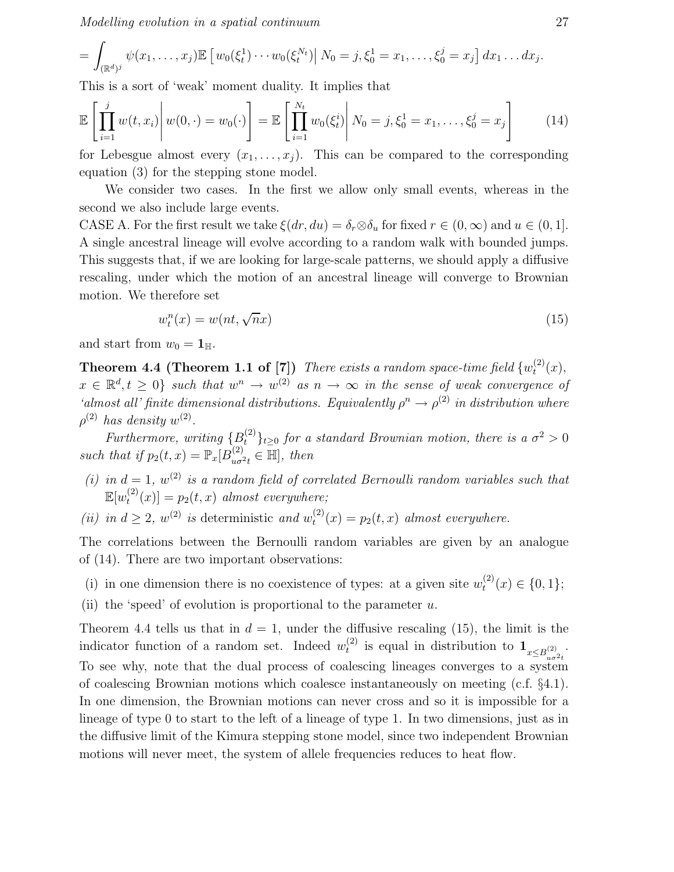Modelling evolution in a spatial continuum 27

$$
= \int_{(\mathbb{R}^d)^j} \psi(x_1,\ldots,x_j) \mathbb{E} \left[ w_0(\xi_t^1) \cdots w_0(\xi_t^{N_t}) \right] N_0 = j, \xi_0^1 = x_1,\ldots,\xi_0^j = x_j \, dx_1 \ldots dx_j.
$$

This is a sort of 'weak' moment duality. It implies that

$$
\mathbb{E}\left[\prod_{i=1}^{j} w(t, x_i) \middle| w(0, \cdot) = w_0(\cdot)\right] = \mathbb{E}\left[\prod_{i=1}^{N_t} w_0(\xi_t^i) \middle| N_0 = j, \xi_0^1 = x_1, \dots, \xi_0^j = x_j\right]
$$
(14)

for Lebesgue almost every  $(x_1, \ldots, x_j)$ . This can be compared to the corresponding equation (3) for the stepping stone model.

We consider two cases. In the first we allow only small events, whereas in the second we also include large events.

CASE A. For the first result we take  $\xi(dr, du) = \delta_r \otimes \delta_u$  for fixed  $r \in (0, \infty)$  and  $u \in (0, 1]$ . A single ancestral lineage will evolve according to a random walk with bounded jumps. This suggests that, if we are looking for large-scale patterns, we should apply a diffusive rescaling, under which the motion of an ancestral lineage will converge to Brownian motion. We therefore set

$$
w_t^n(x) = w(nt, \sqrt{n}x) \tag{15}
$$

and start from  $w_0 = \mathbf{1}_{\mathbb{H}}$ .

**Theorem 4.4 (Theorem 1.1 of [7])** There exists a random space-time field  $\{w_t^{(2)}\}$  $t^{(2)}(x),$  $x \in \mathbb{R}^d, t \geq 0$  such that  $w^n \to w^{(2)}$  as  $n \to \infty$  in the sense of weak convergence of 'almost all' finite dimensional distributions. Equivalently  $\rho^n \to \rho^{(2)}$  in distribution where  $\rho^{(2)}$  has density  $w^{(2)}$ .

Furthermore, writing  ${B_t^{(2)}}_{t\geq0}$  for a standard Brownian motion, there is a  $\sigma^2>0$ such that if  $p_2(t, x) = \mathbb{P}_x[B_{u\sigma^2t}^{(2)} \in \mathbb{H}],$  then

- (i) in  $d = 1$ ,  $w^{(2)}$  is a random field of correlated Bernoulli random variables such that  $\mathbb{E}[w_t^{(2)}]$  $t^{(2)}(x)$  =  $p_2(t, x)$  almost everywhere;
- (*ii*) in  $d \geq 2$ ,  $w^{(2)}$  is deterministic and  $w_t^{(2)}$  $t_t^{(2)}(x) = p_2(t, x)$  almost everywhere.

The correlations between the Bernoulli random variables are given by an analogue of (14). There are two important observations:

(i) in one dimension there is no coexistence of types: at a given site  $w_t^{(2)}$  $t^{(2)}(x) \in \{0,1\};$ 

(ii) the 'speed' of evolution is proportional to the parameter  $u$ .

Theorem 4.4 tells us that in  $d = 1$ , under the diffusive rescaling (15), the limit is the indicator function of a random set. Indeed  $w_t^{(2)}$ <sup>(2)</sup> is equal in distribution to  $\mathbf{1}_{x \leq B_{u\sigma^2t}^{(2)}}$ . To see why, note that the dual process of coalescing lineages converges to a system of coalescing Brownian motions which coalesce instantaneously on meeting (c.f. §4.1). In one dimension, the Brownian motions can never cross and so it is impossible for a lineage of type 0 to start to the left of a lineage of type 1. In two dimensions, just as in the diffusive limit of the Kimura stepping stone model, since two independent Brownian motions will never meet, the system of allele frequencies reduces to heat flow.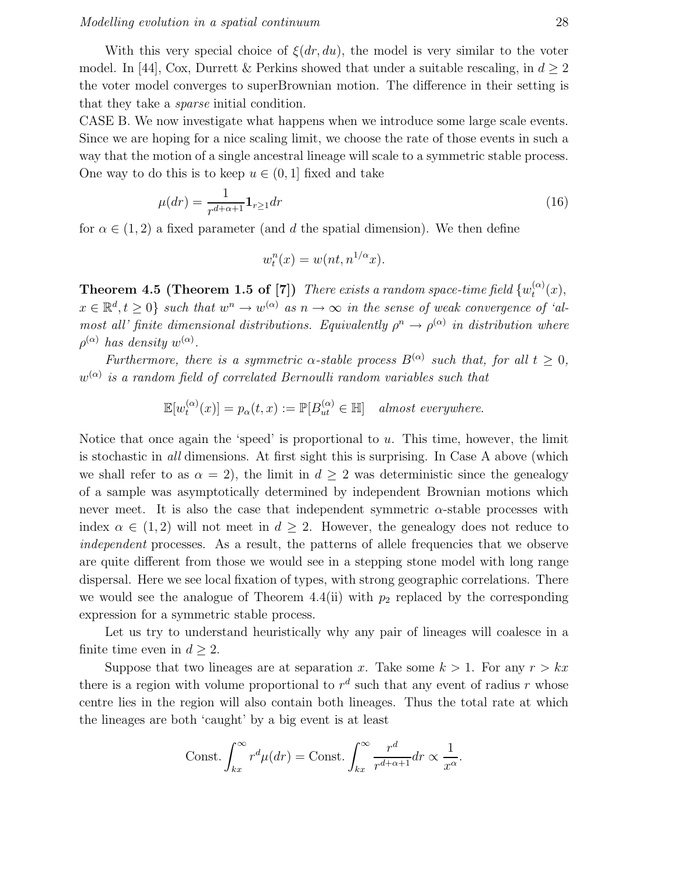With this very special choice of  $\xi(dr, du)$ , the model is very similar to the voter model. In [44], Cox, Durrett & Perkins showed that under a suitable rescaling, in  $d \geq 2$ the voter model converges to superBrownian motion. The difference in their setting is that they take a sparse initial condition.

CASE B. We now investigate what happens when we introduce some large scale events. Since we are hoping for a nice scaling limit, we choose the rate of those events in such a way that the motion of a single ancestral lineage will scale to a symmetric stable process. One way to do this is to keep  $u \in (0, 1]$  fixed and take

$$
\mu(dr) = \frac{1}{r^{d+\alpha+1}} \mathbf{1}_{r \ge 1} dr \tag{16}
$$

for  $\alpha \in (1, 2)$  a fixed parameter (and d the spatial dimension). We then define

$$
w_t^n(x) = w(nt, n^{1/\alpha}x).
$$

**Theorem 4.5 (Theorem 1.5 of [7])** There exists a random space-time field  $\{w_t^{(\alpha)}\}$  $\binom{(\alpha)}{t}(x),$  $x \in \mathbb{R}^d, t \geq 0$  such that  $w^n \to w^{(\alpha)}$  as  $n \to \infty$  in the sense of weak convergence of 'almost all' finite dimensional distributions. Equivalently  $\rho^n \to \rho^{(\alpha)}$  in distribution where  $\rho^{(\alpha)}$  has density  $w^{(\alpha)}$ .

Furthermore, there is a symmetric  $\alpha$ -stable process  $B^{(\alpha)}$  such that, for all  $t \geq 0$ ,  $w^{(\alpha)}$  is a random field of correlated Bernoulli random variables such that

> $\mathbb{E}[w_t^{(\alpha)}]$  $t^{(\alpha)}(x)$ ] =  $p_{\alpha}(t, x) := \mathbb{P}[B^{(\alpha)}_{ut} \in \mathbb{H}]$  almost everywhere.

Notice that once again the 'speed' is proportional to  $u$ . This time, however, the limit is stochastic in all dimensions. At first sight this is surprising. In Case A above (which we shall refer to as  $\alpha = 2$ , the limit in  $d \geq 2$  was deterministic since the genealogy of a sample was asymptotically determined by independent Brownian motions which never meet. It is also the case that independent symmetric  $\alpha$ -stable processes with index  $\alpha \in (1, 2)$  will not meet in  $d \geq 2$ . However, the genealogy does not reduce to independent processes. As a result, the patterns of allele frequencies that we observe are quite different from those we would see in a stepping stone model with long range dispersal. Here we see local fixation of types, with strong geographic correlations. There we would see the analogue of Theorem 4.4(ii) with  $p_2$  replaced by the corresponding expression for a symmetric stable process.

Let us try to understand heuristically why any pair of lineages will coalesce in a finite time even in  $d \geq 2$ .

Suppose that two lineages are at separation x. Take some  $k > 1$ . For any  $r > kx$ there is a region with volume proportional to  $r^d$  such that any event of radius r whose centre lies in the region will also contain both lineages. Thus the total rate at which the lineages are both 'caught' by a big event is at least

$$
\text{Const.} \int_{kx}^{\infty} r^d \mu(dr) = \text{Const.} \int_{kx}^{\infty} \frac{r^d}{r^{d+\alpha+1}} dr \propto \frac{1}{x^{\alpha}}.
$$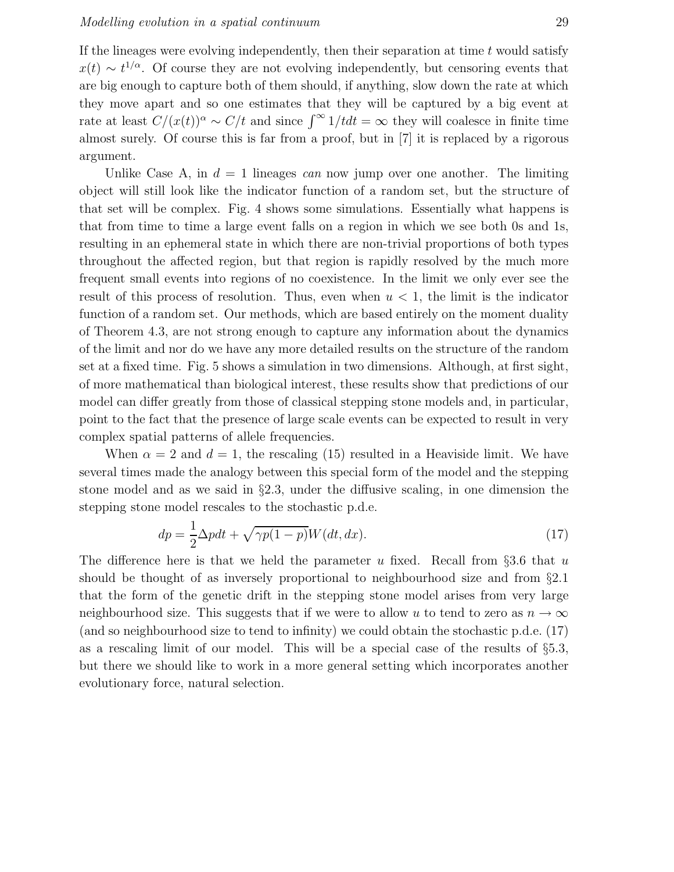If the lineages were evolving independently, then their separation at time  $t$  would satisfy  $x(t) \sim t^{1/\alpha}$ . Of course they are not evolving independently, but censoring events that are big enough to capture both of them should, if anything, slow down the rate at which they move apart and so one estimates that they will be captured by a big event at rate at least  $C/(x(t))^{\alpha} \sim C/t$  and since  $\int^{\infty} 1/t dt = \infty$  they will coalesce in finite time almost surely. Of course this is far from a proof, but in [7] it is replaced by a rigorous argument.

Unlike Case A, in  $d = 1$  lineages can now jump over one another. The limiting object will still look like the indicator function of a random set, but the structure of that set will be complex. Fig. 4 shows some simulations. Essentially what happens is that from time to time a large event falls on a region in which we see both 0s and 1s, resulting in an ephemeral state in which there are non-trivial proportions of both types throughout the affected region, but that region is rapidly resolved by the much more frequent small events into regions of no coexistence. In the limit we only ever see the result of this process of resolution. Thus, even when  $u < 1$ , the limit is the indicator function of a random set. Our methods, which are based entirely on the moment duality of Theorem 4.3, are not strong enough to capture any information about the dynamics of the limit and nor do we have any more detailed results on the structure of the random set at a fixed time. Fig. 5 shows a simulation in two dimensions. Although, at first sight, of more mathematical than biological interest, these results show that predictions of our model can differ greatly from those of classical stepping stone models and, in particular, point to the fact that the presence of large scale events can be expected to result in very complex spatial patterns of allele frequencies.

When  $\alpha = 2$  and  $d = 1$ , the rescaling (15) resulted in a Heaviside limit. We have several times made the analogy between this special form of the model and the stepping stone model and as we said in §2.3, under the diffusive scaling, in one dimension the stepping stone model rescales to the stochastic p.d.e.

$$
dp = \frac{1}{2}\Delta p dt + \sqrt{\gamma p(1-p)}W(dt, dx). \tag{17}
$$

The difference here is that we held the parameter u fixed. Recall from §3.6 that u should be thought of as inversely proportional to neighbourhood size and from §2.1 that the form of the genetic drift in the stepping stone model arises from very large neighbourhood size. This suggests that if we were to allow u to tend to zero as  $n \to \infty$ (and so neighbourhood size to tend to infinity) we could obtain the stochastic p.d.e. (17) as a rescaling limit of our model. This will be a special case of the results of §5.3, but there we should like to work in a more general setting which incorporates another evolutionary force, natural selection.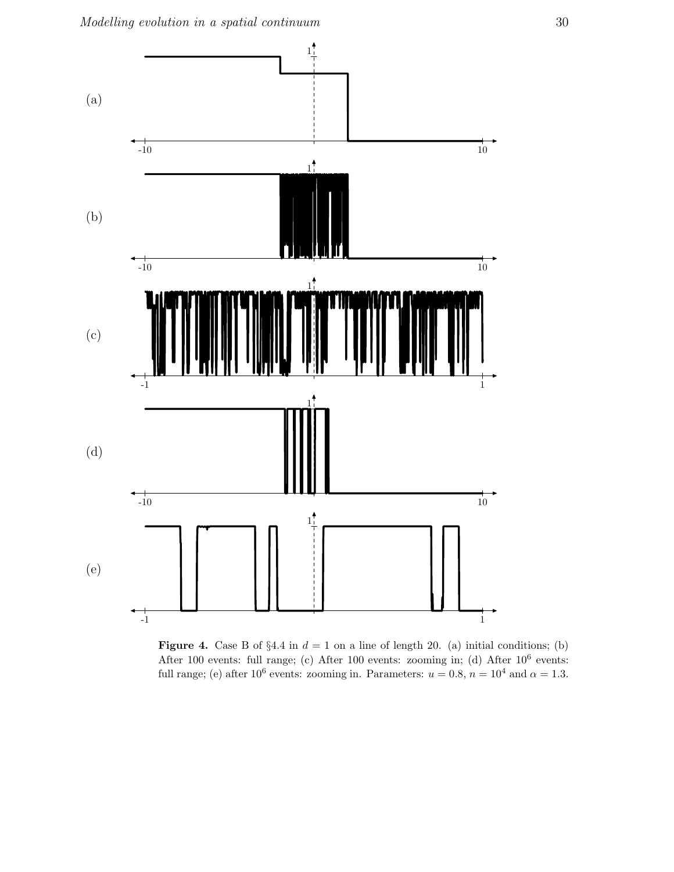

Figure 4. Case B of  $\S 4.4$  in  $d = 1$  on a line of length 20. (a) initial conditions; (b) After 100 events: full range; (c) After 100 events: zooming in; (d) After  $10^6$  events: full range; (e) after 10<sup>6</sup> events: zooming in. Parameters:  $u = 0.8$ ,  $n = 10^4$  and  $\alpha = 1.3$ .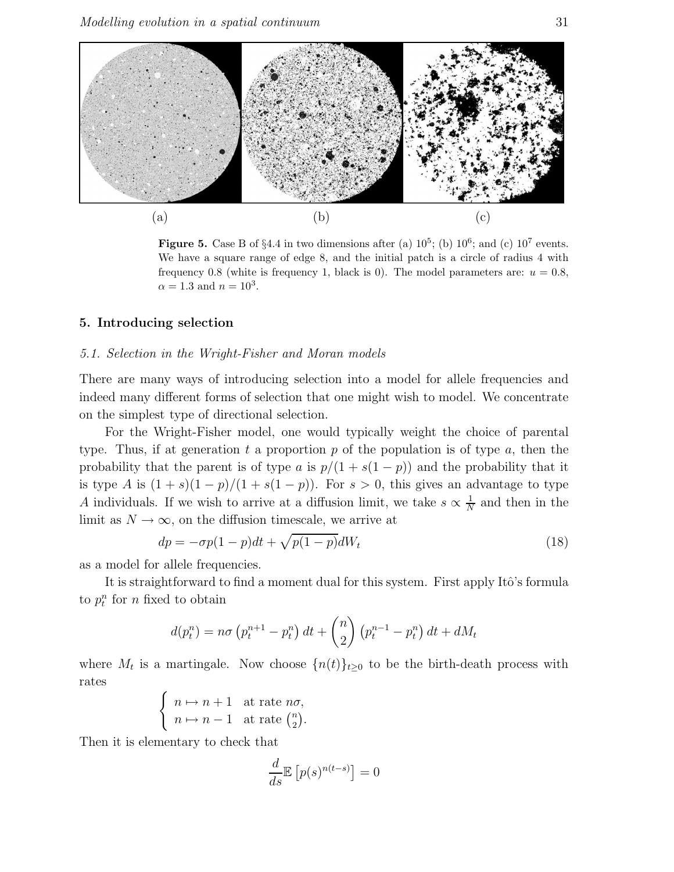

**Figure 5.** Case B of §4.4 in two dimensions after (a)  $10^5$ ; (b)  $10^6$ ; and (c)  $10^7$  events. We have a square range of edge 8, and the initial patch is a circle of radius 4 with frequency 0.8 (white is frequency 1, black is 0). The model parameters are:  $u = 0.8$ ,  $\alpha = 1.3$  and  $n = 10^3$ .

## 5. Introducing selection

### 5.1. Selection in the Wright-Fisher and Moran models

There are many ways of introducing selection into a model for allele frequencies and indeed many different forms of selection that one might wish to model. We concentrate on the simplest type of directional selection.

For the Wright-Fisher model, one would typically weight the choice of parental type. Thus, if at generation t a proportion p of the population is of type a, then the probability that the parent is of type a is  $p/(1 + s(1 - p))$  and the probability that it is type A is  $(1 + s)(1 - p)/(1 + s(1 - p))$ . For  $s > 0$ , this gives an advantage to type A individuals. If we wish to arrive at a diffusion limit, we take  $s \propto \frac{1}{N}$  $\frac{1}{N}$  and then in the limit as  $N \to \infty$ , on the diffusion timescale, we arrive at

$$
dp = -\sigma p(1 - p)dt + \sqrt{p(1 - p)}dW_t
$$
\n(18)

as a model for allele frequencies.

It is straightforward to find a moment dual for this system. First apply Itô's formula to  $p_t^n$  for n fixed to obtain

$$
d(p_t^n) = n\sigma \left( p_t^{n+1} - p_t^n \right) dt + \binom{n}{2} \left( p_t^{n-1} - p_t^n \right) dt + dM_t
$$

where  $M_t$  is a martingale. Now choose  $\{n(t)\}_{t\geq 0}$  to be the birth-death process with rates

$$
\begin{cases} n \mapsto n+1 & \text{at rate } n\sigma, \\ n \mapsto n-1 & \text{at rate } \binom{n}{2}. \end{cases}
$$

Then it is elementary to check that

$$
\frac{d}{ds}\mathbb{E}\left[p(s)^{n(t-s)}\right] = 0
$$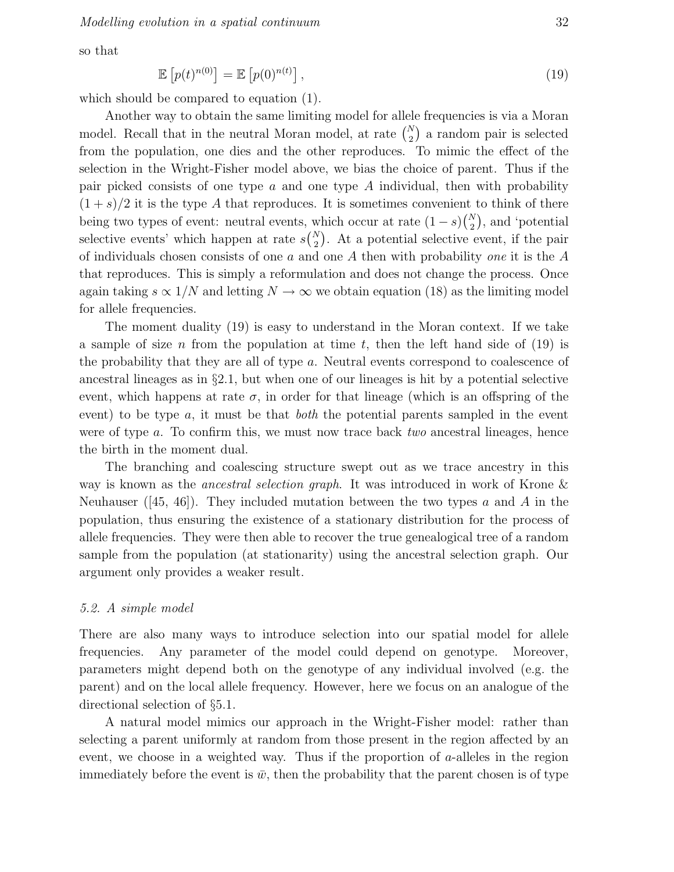so that

$$
\mathbb{E}\left[p(t)^{n(0)}\right] = \mathbb{E}\left[p(0)^{n(t)}\right],\tag{19}
$$

which should be compared to equation (1).

Another way to obtain the same limiting model for allele frequencies is via a Moran model. Recall that in the neutral Moran model, at rate  $\binom{N}{2}$  a random pair is selected from the population, one dies and the other reproduces. To mimic the effect of the selection in the Wright-Fisher model above, we bias the choice of parent. Thus if the pair picked consists of one type  $\alpha$  and one type  $\alpha$  individual, then with probability  $(1 + s)/2$  it is the type A that reproduces. It is sometimes convenient to think of there being two types of event: neutral events, which occur at rate  $(1-s)\binom{N}{2}$ , and 'potential selective events' which happen at rate  $s\binom{N}{2}$ . At a potential selective event, if the pair of individuals chosen consists of one a and one A then with probability one it is the  $A$ that reproduces. This is simply a reformulation and does not change the process. Once again taking  $s \propto 1/N$  and letting  $N \to \infty$  we obtain equation (18) as the limiting model for allele frequencies.

The moment duality (19) is easy to understand in the Moran context. If we take a sample of size n from the population at time t, then the left hand side of  $(19)$  is the probability that they are all of type a. Neutral events correspond to coalescence of ancestral lineages as in  $\S2.1$ , but when one of our lineages is hit by a potential selective event, which happens at rate  $\sigma$ , in order for that lineage (which is an offspring of the event) to be type  $a$ , it must be that *both* the potential parents sampled in the event were of type a. To confirm this, we must now trace back two ancestral lineages, hence the birth in the moment dual.

The branching and coalescing structure swept out as we trace ancestry in this way is known as the ancestral selection graph. It was introduced in work of Krone & Neuhauser ([45, 46]). They included mutation between the two types a and A in the population, thus ensuring the existence of a stationary distribution for the process of allele frequencies. They were then able to recover the true genealogical tree of a random sample from the population (at stationarity) using the ancestral selection graph. Our argument only provides a weaker result.

## 5.2. A simple model

There are also many ways to introduce selection into our spatial model for allele frequencies. Any parameter of the model could depend on genotype. Moreover, parameters might depend both on the genotype of any individual involved (e.g. the parent) and on the local allele frequency. However, here we focus on an analogue of the directional selection of §5.1.

A natural model mimics our approach in the Wright-Fisher model: rather than selecting a parent uniformly at random from those present in the region affected by an event, we choose in a weighted way. Thus if the proportion of  $a$ -alleles in the region immediately before the event is  $\bar{w}$ , then the probability that the parent chosen is of type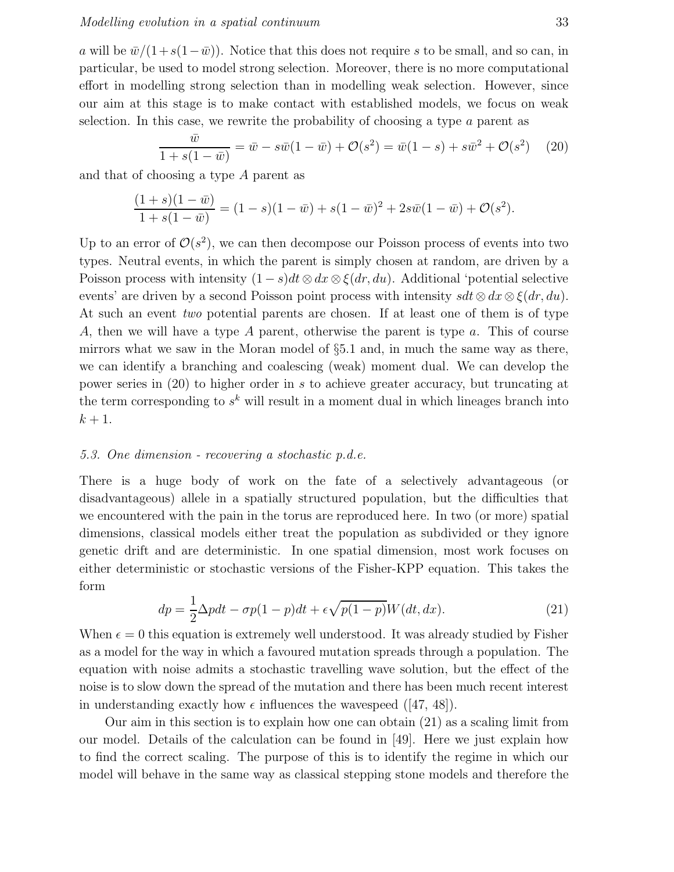#### Modelling evolution in a spatial continuum 33

a will be  $\bar{w}/(1+s(1-\bar{w}))$ . Notice that this does not require s to be small, and so can, in particular, be used to model strong selection. Moreover, there is no more computational effort in modelling strong selection than in modelling weak selection. However, since our aim at this stage is to make contact with established models, we focus on weak selection. In this case, we rewrite the probability of choosing a type a parent as

$$
\frac{\bar{w}}{1+s(1-\bar{w})} = \bar{w} - s\bar{w}(1-\bar{w}) + \mathcal{O}(s^2) = \bar{w}(1-s) + s\bar{w}^2 + \mathcal{O}(s^2) \tag{20}
$$

and that of choosing a type A parent as

$$
\frac{(1+s)(1-\bar{w})}{1+s(1-\bar{w})} = (1-s)(1-\bar{w}) + s(1-\bar{w})^2 + 2s\bar{w}(1-\bar{w}) + \mathcal{O}(s^2).
$$

Up to an error of  $\mathcal{O}(s^2)$ , we can then decompose our Poisson process of events into two types. Neutral events, in which the parent is simply chosen at random, are driven by a Poisson process with intensity  $(1-s)dt \otimes dx \otimes \xi(dr, du)$ . Additional 'potential selective events' are driven by a second Poisson point process with intensity  $sdt \otimes dx \otimes \xi(dr, du)$ . At such an event two potential parents are chosen. If at least one of them is of type A, then we will have a type A parent, otherwise the parent is type a. This of course mirrors what we saw in the Moran model of §5.1 and, in much the same way as there, we can identify a branching and coalescing (weak) moment dual. We can develop the power series in (20) to higher order in s to achieve greater accuracy, but truncating at the term corresponding to  $s^k$  will result in a moment dual in which lineages branch into  $k+1$ .

## 5.3. One dimension - recovering a stochastic p.d.e.

There is a huge body of work on the fate of a selectively advantageous (or disadvantageous) allele in a spatially structured population, but the difficulties that we encountered with the pain in the torus are reproduced here. In two (or more) spatial dimensions, classical models either treat the population as subdivided or they ignore genetic drift and are deterministic. In one spatial dimension, most work focuses on either deterministic or stochastic versions of the Fisher-KPP equation. This takes the form

$$
dp = \frac{1}{2}\Delta pdt - \sigma p(1-p)dt + \epsilon \sqrt{p(1-p)}W(dt, dx). \tag{21}
$$

When  $\epsilon = 0$  this equation is extremely well understood. It was already studied by Fisher as a model for the way in which a favoured mutation spreads through a population. The equation with noise admits a stochastic travelling wave solution, but the effect of the noise is to slow down the spread of the mutation and there has been much recent interest in understanding exactly how  $\epsilon$  influences the wavespeed ([47, 48]).

Our aim in this section is to explain how one can obtain (21) as a scaling limit from our model. Details of the calculation can be found in [49]. Here we just explain how to find the correct scaling. The purpose of this is to identify the regime in which our model will behave in the same way as classical stepping stone models and therefore the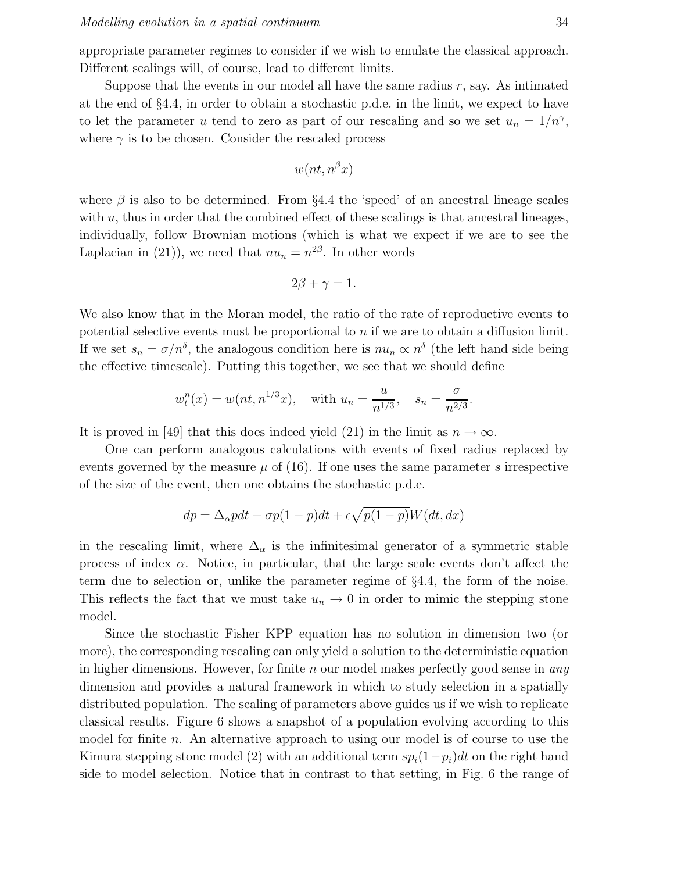appropriate parameter regimes to consider if we wish to emulate the classical approach. Different scalings will, of course, lead to different limits.

Suppose that the events in our model all have the same radius  $r$ , say. As intimated at the end of §4.4, in order to obtain a stochastic p.d.e. in the limit, we expect to have to let the parameter u tend to zero as part of our rescaling and so we set  $u_n = 1/n^{\gamma}$ , where  $\gamma$  is to be chosen. Consider the rescaled process

$$
w(nt, n^{\beta}x)
$$

where  $\beta$  is also to be determined. From §4.4 the 'speed' of an ancestral lineage scales with  $u$ , thus in order that the combined effect of these scalings is that ancestral lineages, individually, follow Brownian motions (which is what we expect if we are to see the Laplacian in (21)), we need that  $nu_n = n^{2\beta}$ . In other words

$$
2\beta + \gamma = 1.
$$

We also know that in the Moran model, the ratio of the rate of reproductive events to potential selective events must be proportional to  $n$  if we are to obtain a diffusion limit. If we set  $s_n = \sigma/n^{\delta}$ , the analogous condition here is  $nu_n \propto n^{\delta}$  (the left hand side being the effective timescale). Putting this together, we see that we should define

$$
w_t^n(x) = w(nt, n^{1/3}x)
$$
, with  $u_n = \frac{u}{n^{1/3}}$ ,  $s_n = \frac{\sigma}{n^{2/3}}$ .

It is proved in [49] that this does indeed yield (21) in the limit as  $n \to \infty$ .

One can perform analogous calculations with events of fixed radius replaced by events governed by the measure  $\mu$  of (16). If one uses the same parameter s irrespective of the size of the event, then one obtains the stochastic p.d.e.

$$
dp = \Delta_{\alpha} pdt - \sigma p(1-p)dt + \epsilon \sqrt{p(1-p)}W(dt, dx)
$$

in the rescaling limit, where  $\Delta_{\alpha}$  is the infinitesimal generator of a symmetric stable process of index  $\alpha$ . Notice, in particular, that the large scale events don't affect the term due to selection or, unlike the parameter regime of §4.4, the form of the noise. This reflects the fact that we must take  $u_n \to 0$  in order to mimic the stepping stone model.

Since the stochastic Fisher KPP equation has no solution in dimension two (or more), the corresponding rescaling can only yield a solution to the deterministic equation in higher dimensions. However, for finite  $n$  our model makes perfectly good sense in *any* dimension and provides a natural framework in which to study selection in a spatially distributed population. The scaling of parameters above guides us if we wish to replicate classical results. Figure 6 shows a snapshot of a population evolving according to this model for finite n. An alternative approach to using our model is of course to use the Kimura stepping stone model (2) with an additional term  $sp<sub>i</sub>(1-p<sub>i</sub>)dt$  on the right hand side to model selection. Notice that in contrast to that setting, in Fig. 6 the range of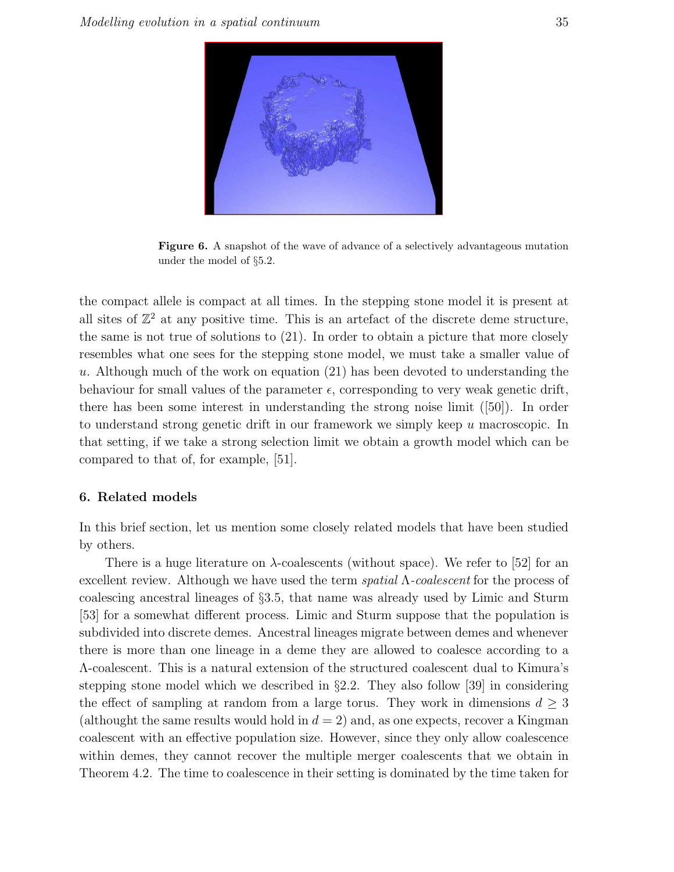

Figure 6. A snapshot of the wave of advance of a selectively advantageous mutation under the model of §5.2.

the compact allele is compact at all times. In the stepping stone model it is present at all sites of  $\mathbb{Z}^2$  at any positive time. This is an artefact of the discrete deme structure, the same is not true of solutions to (21). In order to obtain a picture that more closely resembles what one sees for the stepping stone model, we must take a smaller value of u. Although much of the work on equation  $(21)$  has been devoted to understanding the behaviour for small values of the parameter  $\epsilon$ , corresponding to very weak genetic drift, there has been some interest in understanding the strong noise limit ([50]). In order to understand strong genetic drift in our framework we simply keep u macroscopic. In that setting, if we take a strong selection limit we obtain a growth model which can be compared to that of, for example, [51].

## 6. Related models

In this brief section, let us mention some closely related models that have been studied by others.

There is a huge literature on  $\lambda$ -coalescents (without space). We refer to [52] for an excellent review. Although we have used the term  $spatial \Lambda-coalescent$  for the process of coalescing ancestral lineages of §3.5, that name was already used by Limic and Sturm [53] for a somewhat different process. Limic and Sturm suppose that the population is subdivided into discrete demes. Ancestral lineages migrate between demes and whenever there is more than one lineage in a deme they are allowed to coalesce according to a Λ-coalescent. This is a natural extension of the structured coalescent dual to Kimura's stepping stone model which we described in §2.2. They also follow [39] in considering the effect of sampling at random from a large torus. They work in dimensions  $d \geq 3$ (althought the same results would hold in  $d = 2$ ) and, as one expects, recover a Kingman coalescent with an effective population size. However, since they only allow coalescence within demes, they cannot recover the multiple merger coalescents that we obtain in Theorem 4.2. The time to coalescence in their setting is dominated by the time taken for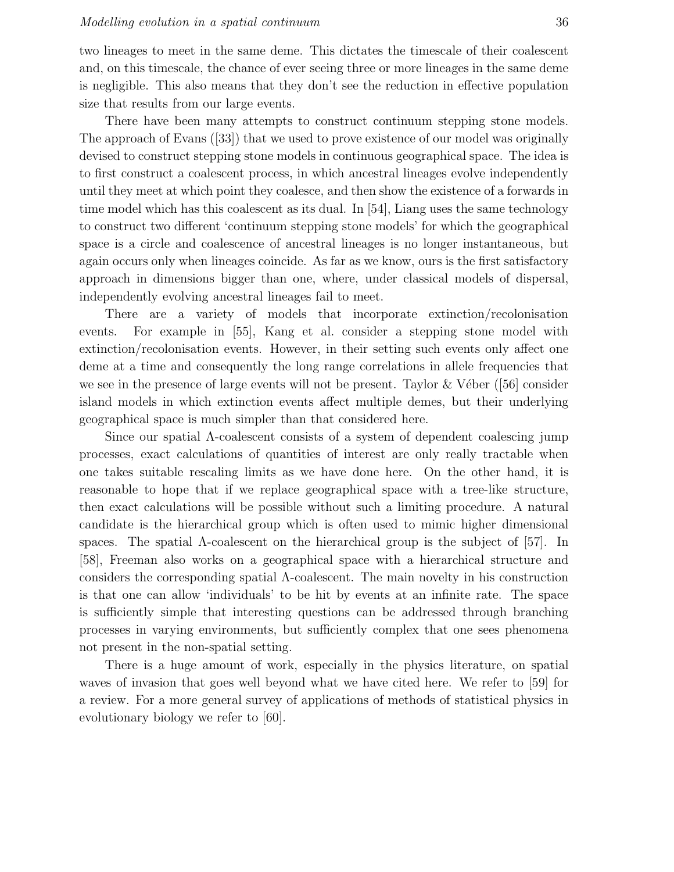two lineages to meet in the same deme. This dictates the timescale of their coalescent and, on this timescale, the chance of ever seeing three or more lineages in the same deme is negligible. This also means that they don't see the reduction in effective population size that results from our large events.

There have been many attempts to construct continuum stepping stone models. The approach of Evans ([33]) that we used to prove existence of our model was originally devised to construct stepping stone models in continuous geographical space. The idea is to first construct a coalescent process, in which ancestral lineages evolve independently until they meet at which point they coalesce, and then show the existence of a forwards in time model which has this coalescent as its dual. In [54], Liang uses the same technology to construct two different 'continuum stepping stone models' for which the geographical space is a circle and coalescence of ancestral lineages is no longer instantaneous, but again occurs only when lineages coincide. As far as we know, ours is the first satisfactory approach in dimensions bigger than one, where, under classical models of dispersal, independently evolving ancestral lineages fail to meet.

There are a variety of models that incorporate extinction/recolonisation events. For example in [55], Kang et al. consider a stepping stone model with extinction/recolonisation events. However, in their setting such events only affect one deme at a time and consequently the long range correlations in allele frequencies that we see in the presence of large events will not be present. Taylor  $&\&V$ éber ([56] consider island models in which extinction events affect multiple demes, but their underlying geographical space is much simpler than that considered here.

Since our spatial Λ-coalescent consists of a system of dependent coalescing jump processes, exact calculations of quantities of interest are only really tractable when one takes suitable rescaling limits as we have done here. On the other hand, it is reasonable to hope that if we replace geographical space with a tree-like structure, then exact calculations will be possible without such a limiting procedure. A natural candidate is the hierarchical group which is often used to mimic higher dimensional spaces. The spatial  $\Lambda$ -coalescent on the hierarchical group is the subject of [57]. In [58], Freeman also works on a geographical space with a hierarchical structure and considers the corresponding spatial Λ-coalescent. The main novelty in his construction is that one can allow 'individuals' to be hit by events at an infinite rate. The space is sufficiently simple that interesting questions can be addressed through branching processes in varying environments, but sufficiently complex that one sees phenomena not present in the non-spatial setting.

There is a huge amount of work, especially in the physics literature, on spatial waves of invasion that goes well beyond what we have cited here. We refer to [59] for a review. For a more general survey of applications of methods of statistical physics in evolutionary biology we refer to [60].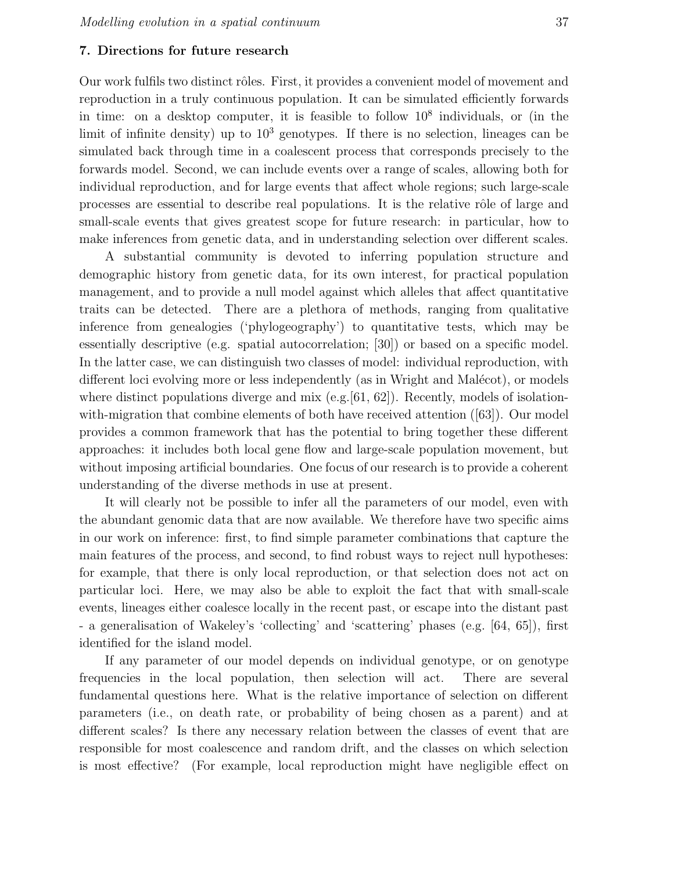## 7. Directions for future research

Our work fulfils two distinct rôles. First, it provides a convenient model of movement and reproduction in a truly continuous population. It can be simulated efficiently forwards in time: on a desktop computer, it is feasible to follow  $10^8$  individuals, or (in the limit of infinite density) up to  $10^3$  genotypes. If there is no selection, lineages can be simulated back through time in a coalescent process that corresponds precisely to the forwards model. Second, we can include events over a range of scales, allowing both for individual reproduction, and for large events that affect whole regions; such large-scale processes are essential to describe real populations. It is the relative rôle of large and small-scale events that gives greatest scope for future research: in particular, how to make inferences from genetic data, and in understanding selection over different scales.

A substantial community is devoted to inferring population structure and demographic history from genetic data, for its own interest, for practical population management, and to provide a null model against which alleles that affect quantitative traits can be detected. There are a plethora of methods, ranging from qualitative inference from genealogies ('phylogeography') to quantitative tests, which may be essentially descriptive (e.g. spatial autocorrelation; [30]) or based on a specific model. In the latter case, we can distinguish two classes of model: individual reproduction, with different loci evolving more or less independently (as in Wright and Malécot), or models where distinct populations diverge and mix  $(e.g.[61, 62])$ . Recently, models of isolationwith-migration that combine elements of both have received attention ([63]). Our model provides a common framework that has the potential to bring together these different approaches: it includes both local gene flow and large-scale population movement, but without imposing artificial boundaries. One focus of our research is to provide a coherent understanding of the diverse methods in use at present.

It will clearly not be possible to infer all the parameters of our model, even with the abundant genomic data that are now available. We therefore have two specific aims in our work on inference: first, to find simple parameter combinations that capture the main features of the process, and second, to find robust ways to reject null hypotheses: for example, that there is only local reproduction, or that selection does not act on particular loci. Here, we may also be able to exploit the fact that with small-scale events, lineages either coalesce locally in the recent past, or escape into the distant past - a generalisation of Wakeley's 'collecting' and 'scattering' phases (e.g. [64, 65]), first identified for the island model.

If any parameter of our model depends on individual genotype, or on genotype frequencies in the local population, then selection will act. There are several fundamental questions here. What is the relative importance of selection on different parameters (i.e., on death rate, or probability of being chosen as a parent) and at different scales? Is there any necessary relation between the classes of event that are responsible for most coalescence and random drift, and the classes on which selection is most effective? (For example, local reproduction might have negligible effect on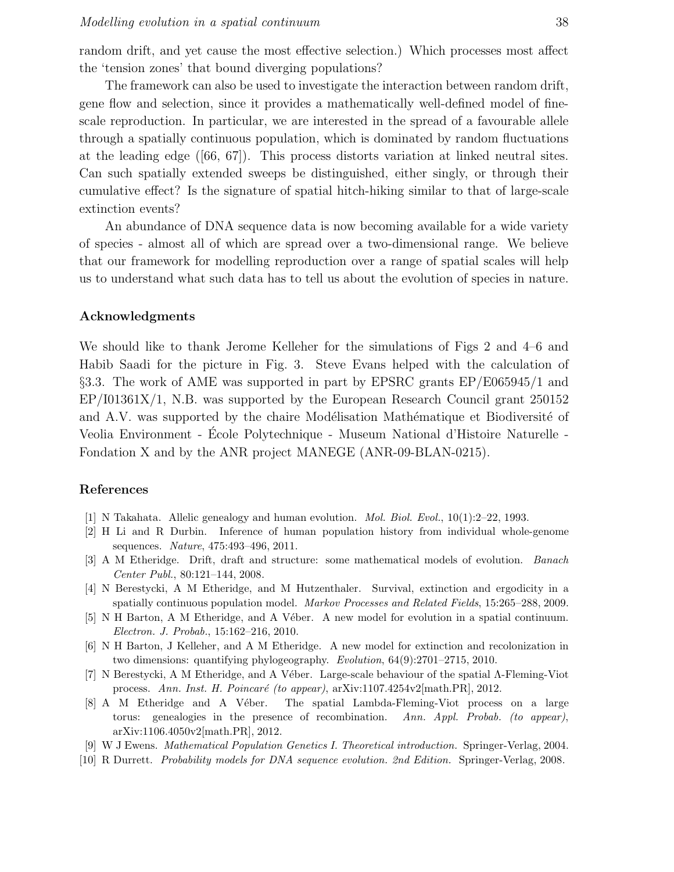random drift, and yet cause the most effective selection.) Which processes most affect the 'tension zones' that bound diverging populations?

The framework can also be used to investigate the interaction between random drift, gene flow and selection, since it provides a mathematically well-defined model of finescale reproduction. In particular, we are interested in the spread of a favourable allele through a spatially continuous population, which is dominated by random fluctuations at the leading edge ([66, 67]). This process distorts variation at linked neutral sites. Can such spatially extended sweeps be distinguished, either singly, or through their cumulative effect? Is the signature of spatial hitch-hiking similar to that of large-scale extinction events?

An abundance of DNA sequence data is now becoming available for a wide variety of species - almost all of which are spread over a two-dimensional range. We believe that our framework for modelling reproduction over a range of spatial scales will help us to understand what such data has to tell us about the evolution of species in nature.

#### Acknowledgments

We should like to thank Jerome Kelleher for the simulations of Figs 2 and 4–6 and Habib Saadi for the picture in Fig. 3. Steve Evans helped with the calculation of §3.3. The work of AME was supported in part by EPSRC grants EP/E065945/1 and EP/I01361X/1, N.B. was supported by the European Research Council grant 250152 and A.V. was supported by the chaire Modélisation Mathématique et Biodiversité of Veolia Environment - Ecole Polytechnique - Museum National d'Histoire Naturelle -Fondation X and by the ANR project MANEGE (ANR-09-BLAN-0215).

# References

- [1] N Takahata. Allelic genealogy and human evolution. *Mol. Biol. Evol.*, 10(1):2–22, 1993.
- [2] H Li and R Durbin. Inference of human population history from individual whole-genome sequences. *Nature*, 475:493–496, 2011.
- [3] A M Etheridge. Drift, draft and structure: some mathematical models of evolution. *Banach Center Publ.*, 80:121–144, 2008.
- [4] N Berestycki, A M Etheridge, and M Hutzenthaler. Survival, extinction and ergodicity in a spatially continuous population model. *Markov Processes and Related Fields*, 15:265–288, 2009.
- [5] N H Barton, A M Etheridge, and A Véber. A new model for evolution in a spatial continuum. *Electron. J. Probab.*, 15:162–216, 2010.
- [6] N H Barton, J Kelleher, and A M Etheridge. A new model for extinction and recolonization in two dimensions: quantifying phylogeography. *Evolution*, 64(9):2701–2715, 2010.
- [7] N Berestycki, A M Etheridge, and A Véber. Large-scale behaviour of the spatial Λ-Fleming-Viot process. Ann. Inst. H. Poincaré (to appear), arXiv:1107.4254v2[math.PR], 2012.
- [8] A M Etheridge and A Véber. The spatial Lambda-Fleming-Viot process on a large torus: genealogies in the presence of recombination. *Ann. Appl. Probab. (to appear)*, arXiv:1106.4050v2[math.PR], 2012.
- [9] W J Ewens. *Mathematical Population Genetics I. Theoretical introduction.* Springer-Verlag, 2004.
- [10] R Durrett. *Probability models for DNA sequence evolution. 2nd Edition.* Springer-Verlag, 2008.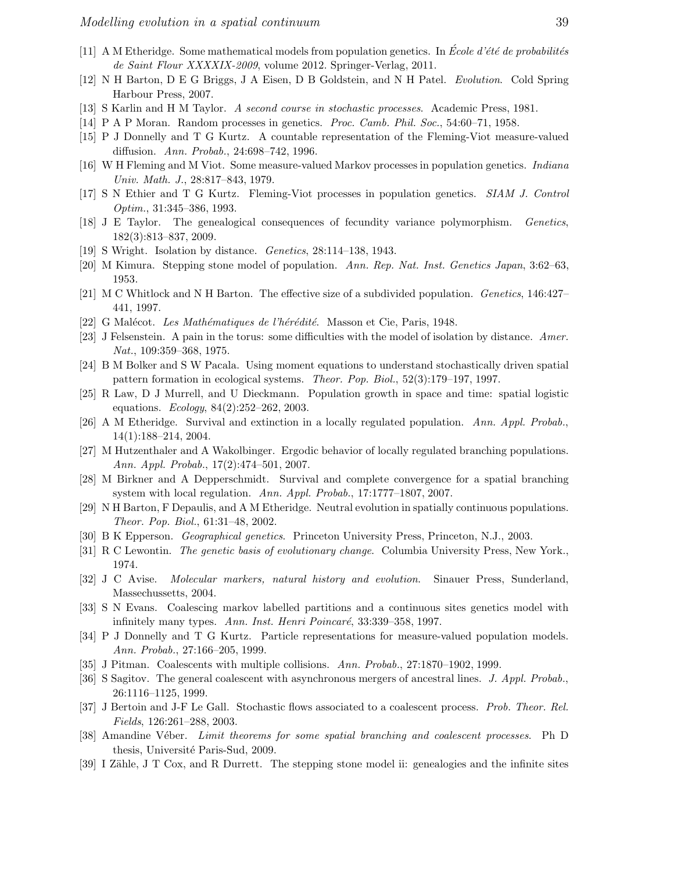- [11] A M Etheridge. Some mathematical models from population genetics. In *Ecole d'été de probabilités de Saint Flour XXXXIX-2009*, volume 2012. Springer-Verlag, 2011.
- [12] N H Barton, D E G Briggs, J A Eisen, D B Goldstein, and N H Patel. *Evolution*. Cold Spring Harbour Press, 2007.
- [13] S Karlin and H M Taylor. *A second course in stochastic processes*. Academic Press, 1981.
- [14] P A P Moran. Random processes in genetics. *Proc. Camb. Phil. Soc.*, 54:60–71, 1958.
- [15] P J Donnelly and T G Kurtz. A countable representation of the Fleming-Viot measure-valued diffusion. *Ann. Probab.*, 24:698–742, 1996.
- [16] W H Fleming and M Viot. Some measure-valued Markov processes in population genetics. *Indiana Univ. Math. J.*, 28:817–843, 1979.
- [17] S N Ethier and T G Kurtz. Fleming-Viot processes in population genetics. *SIAM J. Control Optim.*, 31:345–386, 1993.
- [18] J E Taylor. The genealogical consequences of fecundity variance polymorphism. *Genetics*, 182(3):813–837, 2009.
- [19] S Wright. Isolation by distance. *Genetics*, 28:114–138, 1943.
- [20] M Kimura. Stepping stone model of population. *Ann. Rep. Nat. Inst. Genetics Japan*, 3:62–63, 1953.
- [21] M C Whitlock and N H Barton. The effective size of a subdivided population. *Genetics*, 146:427– 441, 1997.
- [22] G Malécot. *Les Mathématiques de l'hérédité*. Masson et Cie, Paris, 1948.
- [23] J Felsenstein. A pain in the torus: some difficulties with the model of isolation by distance. *Amer. Nat.*, 109:359–368, 1975.
- [24] B M Bolker and S W Pacala. Using moment equations to understand stochastically driven spatial pattern formation in ecological systems. *Theor. Pop. Biol.*, 52(3):179–197, 1997.
- [25] R Law, D J Murrell, and U Dieckmann. Population growth in space and time: spatial logistic equations. *Ecology*, 84(2):252–262, 2003.
- [26] A M Etheridge. Survival and extinction in a locally regulated population. *Ann. Appl. Probab.*, 14(1):188–214, 2004.
- [27] M Hutzenthaler and A Wakolbinger. Ergodic behavior of locally regulated branching populations. *Ann. Appl. Probab.*, 17(2):474–501, 2007.
- [28] M Birkner and A Depperschmidt. Survival and complete convergence for a spatial branching system with local regulation. *Ann. Appl. Probab.*, 17:1777–1807, 2007.
- [29] N H Barton, F Depaulis, and A M Etheridge. Neutral evolution in spatially continuous populations. *Theor. Pop. Biol.*, 61:31–48, 2002.
- [30] B K Epperson. *Geographical genetics*. Princeton University Press, Princeton, N.J., 2003.
- [31] R C Lewontin. *The genetic basis of evolutionary change*. Columbia University Press, New York., 1974.
- [32] J C Avise. *Molecular markers, natural history and evolution*. Sinauer Press, Sunderland, Massechussetts, 2004.
- [33] S N Evans. Coalescing markov labelled partitions and a continuous sites genetics model with infinitely many types. Ann. Inst. Henri Poincaré, 33:339–358, 1997.
- [34] P J Donnelly and T G Kurtz. Particle representations for measure-valued population models. *Ann. Probab.*, 27:166–205, 1999.
- [35] J Pitman. Coalescents with multiple collisions. *Ann. Probab.*, 27:1870–1902, 1999.
- [36] S Sagitov. The general coalescent with asynchronous mergers of ancestral lines. *J. Appl. Probab.*, 26:1116–1125, 1999.
- [37] J Bertoin and J-F Le Gall. Stochastic flows associated to a coalescent process. *Prob. Theor. Rel. Fields*, 126:261–288, 2003.
- [38] Amandine V´eber. *Limit theorems for some spatial branching and coalescent processes*. Ph D thesis, Université Paris-Sud, 2009.
- [39] I Zähle, J T Cox, and R Durrett. The stepping stone model ii: genealogies and the infinite sites